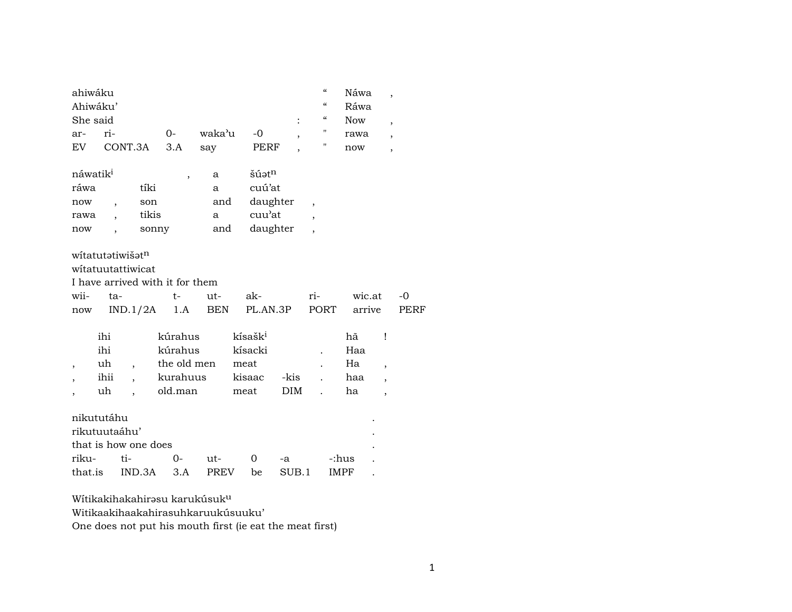| ahiwáku                      |                          |                      |                                 |             |                     |                |                          | $\boldsymbol{\zeta}\boldsymbol{\zeta}$ | Náwa       | ,                        |      |
|------------------------------|--------------------------|----------------------|---------------------------------|-------------|---------------------|----------------|--------------------------|----------------------------------------|------------|--------------------------|------|
| Ahiwáku'                     |                          |                      |                                 |             |                     |                |                          | $\boldsymbol{\zeta}\boldsymbol{\zeta}$ | Ráwa       |                          |      |
| She said                     |                          |                      |                                 |             |                     |                |                          | $\boldsymbol{\zeta}\boldsymbol{\zeta}$ | <b>Now</b> | $\overline{\phantom{a}}$ |      |
| ar-                          | ri-                      |                      | $0-$                            | waka'u      | $-0$                | $\overline{ }$ |                          | "                                      | rawa       | $\overline{ }$           |      |
| EV.                          | CONT.3A                  |                      | 3.A                             | say         |                     | PERF           |                          | "                                      | now        | $\overline{\phantom{a}}$ |      |
|                              |                          |                      |                                 |             |                     |                |                          |                                        |            |                          |      |
| náwatik <sup>i</sup>         |                          |                      | ,                               | a           | šúatn               |                |                          |                                        |            |                          |      |
| ráwa                         |                          | tíki                 |                                 | a           | cuú'at              |                |                          |                                        |            |                          |      |
| now                          | $\overline{\phantom{a}}$ | son                  |                                 | and         |                     | daughter       | $\overline{\phantom{a}}$ |                                        |            |                          |      |
| rawa                         |                          | tikis                |                                 | a           | cuu'at              |                | $\overline{\phantom{a}}$ |                                        |            |                          |      |
| now                          |                          | sonny                |                                 | and         |                     | daughter       | $\overline{\phantom{a}}$ |                                        |            |                          |      |
|                              |                          |                      |                                 |             |                     |                |                          |                                        |            |                          |      |
| witatutatiwišat <sup>n</sup> |                          |                      |                                 |             |                     |                |                          |                                        |            |                          |      |
| witatuutattiwicat            |                          |                      |                                 |             |                     |                |                          |                                        |            |                          |      |
|                              |                          |                      | I have arrived with it for them |             |                     |                |                          |                                        |            |                          |      |
|                              |                          |                      |                                 |             |                     |                |                          |                                        |            |                          |      |
| wii-                         | ta-                      |                      | $t-$                            | ut-         | ak-                 |                | ri-                      |                                        | wic.at     |                          | $-0$ |
| now                          |                          | IND.1/2A             | 1.A                             | BEN         |                     | PL.AN.3P       |                          | PORT                                   | arrive     |                          | PERF |
|                              |                          |                      |                                 |             |                     |                |                          |                                        |            |                          |      |
|                              | ihi                      |                      | kúrahus                         |             | kísašk <sup>i</sup> |                |                          |                                        | hã         | Ţ                        |      |
|                              | ihi                      |                      | kúrahus                         |             | kísacki             |                |                          |                                        | Haa        |                          |      |
| $\overline{ }$               | uh                       |                      | the old men                     |             | meat                |                |                          |                                        | Ha         | $\overline{ }$           |      |
| $\overline{\phantom{a}}$     | ihii                     |                      | kurahuus                        |             | kisaac              | -kis           |                          |                                        | haa        | $\overline{ }$           |      |
|                              | uh                       |                      | old.man                         |             | meat                | DIM            |                          |                                        | ha         | $\overline{\phantom{a}}$ |      |
|                              |                          |                      |                                 |             |                     |                |                          |                                        |            |                          |      |
| nikututáhu                   |                          |                      |                                 |             |                     |                |                          |                                        |            |                          |      |
| rikutuutaáhu'                |                          |                      |                                 |             |                     |                |                          |                                        |            |                          |      |
|                              |                          | that is how one does |                                 |             |                     |                |                          |                                        |            |                          |      |
| riku-                        | ti-                      |                      | $0-$                            | ut-         | 0                   | -a             |                          | -:hus                                  |            |                          |      |
| that.is                      |                          | IND.3A               | 3.A                             | <b>PREV</b> | be                  | SUB.1          |                          | <b>IMPF</b>                            |            |                          |      |

Wítikakihakahirəsu karukúsuk $^{\mathrm{u}}$ 

Witikaakihaakahirasuhkaruukúsuuku'

One does not put his mouth first (ie eat the meat first)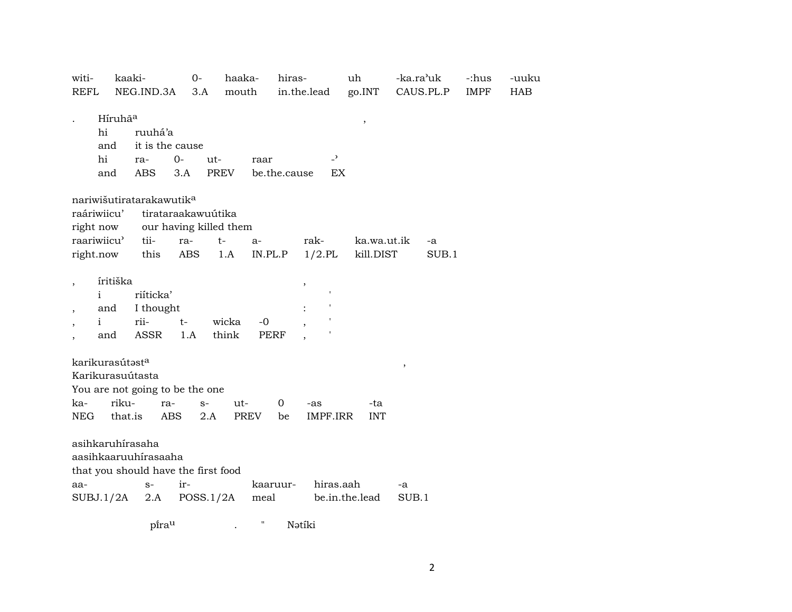| witi-            | kaaki-              |                                      | $0-$                   | haaka-      |             | hiras-       |                          | uh             | -ka.ra'uk |           | -:hus       | -uuku      |
|------------------|---------------------|--------------------------------------|------------------------|-------------|-------------|--------------|--------------------------|----------------|-----------|-----------|-------------|------------|
| <b>REFL</b>      |                     | NEG.IND.3A                           | 3.A                    | mouth       |             |              | in.the.lead              | go.INT         |           | CAUS.PL.P | <b>IMPF</b> | <b>HAB</b> |
|                  | Híruhã <sup>a</sup> |                                      |                        |             |             |              |                          | $\, ,$         |           |           |             |            |
| hi               |                     | ruuhá'a                              |                        |             |             |              |                          |                |           |           |             |            |
|                  | and                 | it is the cause                      |                        |             |             |              |                          |                |           |           |             |            |
| hi               |                     | ra-                                  | 0-                     | ut-         | raar        |              | $\overline{\phantom{a}}$ |                |           |           |             |            |
|                  | and                 | <b>ABS</b>                           | 3.A                    | <b>PREV</b> |             | be.the.cause | EX                       |                |           |           |             |            |
|                  |                     | nariwišutiratarakawutik <sup>a</sup> |                        |             |             |              |                          |                |           |           |             |            |
| raáriwiicu'      |                     |                                      | tirataraakawuútika     |             |             |              |                          |                |           |           |             |            |
| right now        |                     |                                      | our having killed them |             |             |              |                          |                |           |           |             |            |
| raariwiicu'      |                     | tii-                                 | ra-                    | $t-$        | a-          |              | rak-                     | ka.wa.ut.ik    |           | -a        |             |            |
| right.now        |                     | this                                 | ABS                    | 1.A         | IN.PL.P     |              | $1/2$ .PL                | kill.DIST      |           | SUB.1     |             |            |
|                  |                     |                                      |                        |             |             |              |                          |                |           |           |             |            |
|                  | íritiška            |                                      |                        |             |             |              |                          |                |           |           |             |            |
| $\mathbf{i}$     |                     | riíticka'                            |                        |             |             |              |                          |                |           |           |             |            |
|                  | and                 | I thought                            |                        |             |             |              |                          |                |           |           |             |            |
| $\mathbf{i}$     |                     | rii-                                 | $t-$                   | wicka       | $-0$        |              |                          |                |           |           |             |            |
|                  | and                 | ASSR                                 | 1.A                    | think       | <b>PERF</b> |              |                          |                |           |           |             |            |
| karikurasútasta  |                     |                                      |                        |             |             |              |                          |                | $\, ,$    |           |             |            |
| Karikurasuútasta |                     |                                      |                        |             |             |              |                          |                |           |           |             |            |
|                  |                     | You are not going to be the one      |                        |             |             |              |                          |                |           |           |             |            |
| ka-              | riku-               | ra-                                  | $S-$                   | ut-         |             | 0            | -as                      | -ta            |           |           |             |            |
| <b>NEG</b>       | that.is             | ABS                                  | 2.A                    |             | <b>PREV</b> | be           | IMPF.IRR                 | <b>INT</b>     |           |           |             |            |
|                  |                     |                                      |                        |             |             |              |                          |                |           |           |             |            |
| asihkaruhírasaha |                     |                                      |                        |             |             |              |                          |                |           |           |             |            |
|                  |                     | aasihkaaruuhírasaaha                 |                        |             |             |              |                          |                |           |           |             |            |
|                  |                     | that you should have the first food  |                        |             |             |              |                          |                |           |           |             |            |
| aa-              |                     | $S-$                                 | ir-                    |             |             | kaaruur-     | hiras.aah                |                | -a        |           |             |            |
| SUBJ.1/2A        |                     | 2.A                                  | POSS.1/2A              |             | meal        |              |                          | be.in.the.lead | SUB.1     |           |             |            |
|                  |                     |                                      |                        |             |             |              |                          |                |           |           |             |            |

 $\mathop{\mathsf{p}\mathsf{\tilde{I}ra}}\nolimits^{\mathsf{u}}$ Nətiki  $\theta$  $\mathcal{A}$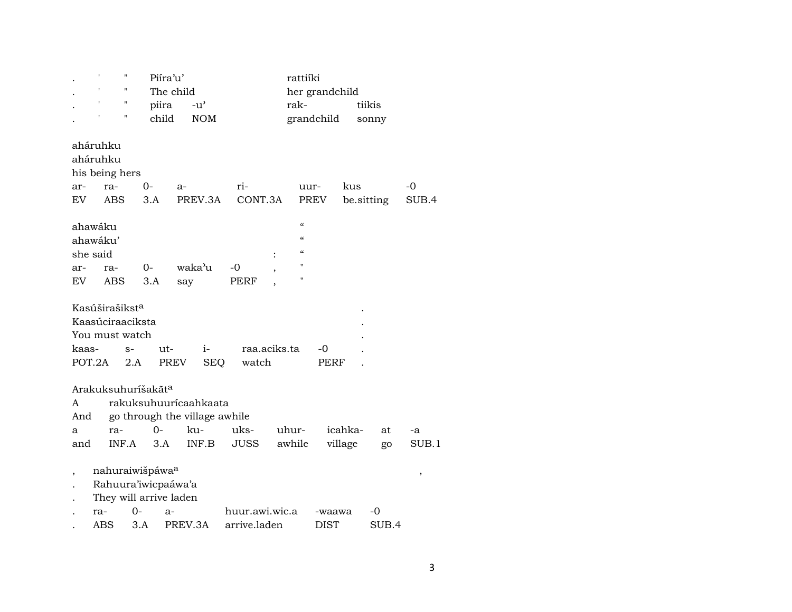|           | t   | н                          | Piíra'u'                       |                               |                | rattiíki     |                |            |       |       |
|-----------|-----|----------------------------|--------------------------------|-------------------------------|----------------|--------------|----------------|------------|-------|-------|
|           |     | 11                         |                                | The child                     |                |              | her grandchild |            |       |       |
|           | t   | 11                         | piira                          | $-u^{\prime}$                 |                | rak-         |                | tiikis     |       |       |
|           |     | н                          | child                          | <b>NOM</b>                    |                |              | grandchild     |            | sonny |       |
|           |     |                            |                                |                               |                |              |                |            |       |       |
| aháruhku  |     |                            |                                |                               |                |              |                |            |       |       |
| aháruhku  |     |                            |                                |                               |                |              |                |            |       |       |
|           |     | his being hers             |                                |                               |                |              |                |            |       |       |
| ar-       |     | ra-                        | 0-                             | a-                            | ri-            | uur-         |                | kus        |       | -0    |
| EV.       |     | <b>ABS</b>                 | 3.A                            | PREV.3A                       | CONT.3A        |              | PREV           | be sitting |       | SUB.4 |
|           |     |                            |                                |                               |                |              |                |            |       |       |
| ahawáku   |     |                            |                                |                               |                | $\alpha$     |                |            |       |       |
| ahawáku'  |     |                            |                                |                               |                | $\epsilon$   |                |            |       |       |
| she said  |     |                            |                                |                               |                | $\epsilon$   |                |            |       |       |
| ar-       |     | ra-                        | 0-                             | waka'u                        | $-0$           | $\mathbf{H}$ |                |            |       |       |
| <b>EV</b> |     | ABS                        | 3.A                            | say                           | PERF           | п            |                |            |       |       |
|           |     |                            |                                |                               |                |              |                |            |       |       |
|           |     | Kasúširašikst <sup>a</sup> |                                |                               |                |              |                |            |       |       |
|           |     | Kaasúciraaciksta           |                                |                               |                |              |                |            |       |       |
|           |     | You must watch             |                                |                               |                |              |                |            |       |       |
| kaas-     |     | $S-$                       | ut-                            | $i-$                          | raa.aciks.ta   |              | -0             |            |       |       |
| POT.2A    |     | 2.A                        |                                | PREV<br><b>SEQ</b>            | watch          |              | PERF           |            |       |       |
|           |     |                            |                                |                               |                |              |                |            |       |       |
|           |     |                            | Arakuksuhuríšakãt <sup>a</sup> |                               |                |              |                |            |       |       |
| A         |     |                            |                                | rakuksuhuurícaahkaata         |                |              |                |            |       |       |
|           |     |                            |                                |                               |                |              |                |            |       |       |
| And       |     |                            | $O -$                          | go through the village awhile |                |              |                |            |       |       |
| a         |     | ra-                        |                                | ku-                           | uks-           | uhur-        | icahka-        |            | at    | -a    |
| and       |     | INF.A                      | 3.A                            | INF.B                         | JUSS           | awhile       | village        |            | go    | SUB.1 |
|           |     |                            |                                |                               |                |              |                |            |       |       |
| ,         |     |                            | nahuraiwišpáwa <sup>a</sup>    |                               |                |              |                |            |       | ,     |
|           |     |                            | Rahuura'iwicpaáwa'a            |                               |                |              |                |            |       |       |
|           |     |                            | They will arrive laden         |                               |                |              |                |            |       |       |
|           | ra- | $O -$                      | a-                             |                               | huur.awi.wic.a |              | -waawa         |            | -0    |       |
|           | ABS |                            | 3.A                            | PREV.3A                       | arrive.laden   |              | <b>DIST</b>    |            | SUB.4 |       |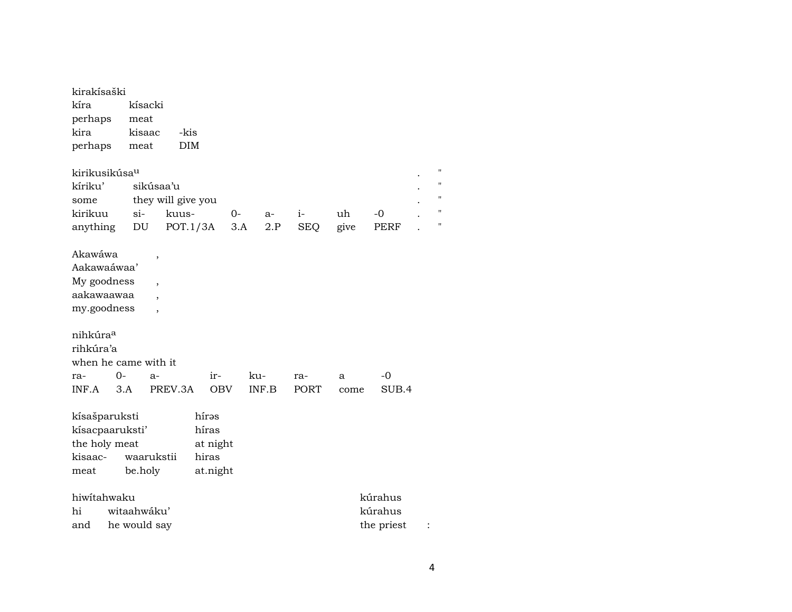| kirakísaški<br>kíra<br>perhaps<br>kira<br>perhaps                                                                                                                                  | meat<br>meat               | kísacki<br>kisaac                                                 | -kis<br>DIM        |                            |      |     |      |             |      |         |  |                |  |  |  |
|------------------------------------------------------------------------------------------------------------------------------------------------------------------------------------|----------------------------|-------------------------------------------------------------------|--------------------|----------------------------|------|-----|------|-------------|------|---------|--|----------------|--|--|--|
| kirikusikúsa <sup>u</sup>                                                                                                                                                          |                            |                                                                   |                    |                            |      |     |      |             |      |         |  | $\blacksquare$ |  |  |  |
| kíriku'                                                                                                                                                                            |                            | sikúsaa'u                                                         |                    |                            |      |     |      |             |      |         |  |                |  |  |  |
| some                                                                                                                                                                               |                            |                                                                   | they will give you |                            |      |     |      |             |      |         |  | $\blacksquare$ |  |  |  |
| kirikuu                                                                                                                                                                            | $si-$                      |                                                                   | kuus-              |                            | $0-$ |     | $a-$ | $i-$        | uh   | -0      |  | п              |  |  |  |
| anything                                                                                                                                                                           | $\mathop{\rm DU}\nolimits$ |                                                                   | POT.1/3A           |                            | 3.A  |     | 2.P  | <b>SEQ</b>  | give | PERF    |  | п              |  |  |  |
| Akawáwa<br>Aakawaáwaa'<br>My goodness<br>aakawaawaa<br>my.goodness<br>nihkúra <sup>a</sup><br>rihkúra'a<br>when he came with it<br>ra-                                             | $0-$                       | ,<br>$\overline{\phantom{a}}$<br>$\overline{\phantom{a}}$<br>$a-$ |                    | $ir-$                      |      | ku- |      | ra-         | a    | $-0$    |  |                |  |  |  |
| INF.A                                                                                                                                                                              | 3.A                        |                                                                   |                    |                            |      |     |      | <b>PORT</b> | come | SUB.4   |  |                |  |  |  |
| PREV.3A<br><b>OBV</b><br>INF.B<br>hírəs<br>kísašparuksti<br>kísacpaaruksti'<br>híras<br>the holy meat<br>at night<br>waarukstii<br>hiras<br>kisaac-<br>be.holy<br>at.night<br>meat |                            |                                                                   |                    |                            |      |     |      |             |      |         |  |                |  |  |  |
| hiwitahwaku                                                                                                                                                                        |                            |                                                                   |                    |                            |      |     |      |             |      | kúrahus |  |                |  |  |  |
| hi                                                                                                                                                                                 | witaahwáku'<br>kúrahus     |                                                                   |                    |                            |      |     |      |             |      |         |  |                |  |  |  |
| and                                                                                                                                                                                |                            |                                                                   |                    | he would say<br>the priest |      |     |      |             |      |         |  |                |  |  |  |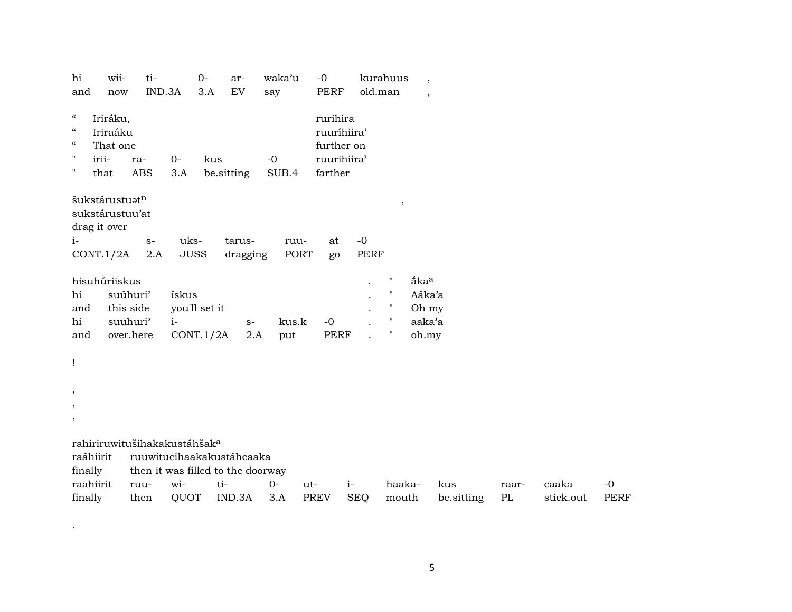| hi<br>and                                                                                                  | wii-<br>now                                                            | ti-<br>IND.3A                                                                                              |                            | $0-$<br>3.A                | ar-<br>EV                        | waka'u<br>say | $-0$               | <b>PERF</b>                                          | kurahuus<br>old.man |                                                                                           | $\overline{\phantom{a}}$<br>$\cdot$                    |                   |             |                    |                     |
|------------------------------------------------------------------------------------------------------------|------------------------------------------------------------------------|------------------------------------------------------------------------------------------------------------|----------------------------|----------------------------|----------------------------------|---------------|--------------------|------------------------------------------------------|---------------------|-------------------------------------------------------------------------------------------|--------------------------------------------------------|-------------------|-------------|--------------------|---------------------|
| $\boldsymbol{\mathcal{C}}$<br>$\boldsymbol{\mathcal{C}}$<br>$\mathcal{C}\mathcal{C}$<br>$\pmb{\mathsf{H}}$ | Iriráku,<br>Iriraáku<br>That one<br>irii-                              | ra-                                                                                                        | $0 -$                      | kus                        |                                  | $-0$          |                    | rurihira<br>ruuríhiira'<br>further on<br>ruurihiira' |                     |                                                                                           |                                                        |                   |             |                    |                     |
| $\pmb{\mathsf{H}}$<br>$i-$                                                                                 | that<br>šukstárustuatn<br>sukstárustuu'at<br>drag it over<br>CONT.1/2A | <b>ABS</b><br>$S-$<br>2.A                                                                                  | 3.A<br>uks-<br><b>JUSS</b> |                            | be.sitting<br>tarus-<br>dragging | SUB.4<br>ruu- | <b>PORT</b>        | farther<br>at<br>go                                  | $-0$<br><b>PERF</b> | $\,$                                                                                      |                                                        |                   |             |                    |                     |
| hi<br>and<br>hi<br>and                                                                                     | hisuhúriiskus<br>suúhuri'<br>this side                                 | suuhuri'<br>over.here                                                                                      | ískus<br>$i-$              | you'll set it<br>CONT.1/2A | $S-$<br>2.A                      | kus.k<br>put  | $-0$               | <b>PERF</b>                                          |                     | $\pmb{\mathsf{H}}$<br>$\pmb{\mathsf{H}}$<br>$\pmb{\mathsf{H}}$<br>$\pmb{\mathsf{H}}$<br>Ħ | åka <sup>a</sup><br>Aáka'a<br>Oh my<br>aaka'a<br>oh.my |                   |             |                    |                     |
| Ţ<br>,<br>$\overline{\phantom{a}}$<br>$\overline{\phantom{a}}$                                             |                                                                        |                                                                                                            |                            |                            |                                  |               |                    |                                                      |                     |                                                                                           |                                                        |                   |             |                    |                     |
| raáhiirit<br>finally                                                                                       |                                                                        | rahiriruwitušihakakustáhšak <sup>a</sup><br>ruuwitucihaakakustáhcaaka<br>then it was filled to the doorway |                            |                            |                                  |               |                    |                                                      |                     |                                                                                           |                                                        |                   |             |                    |                     |
| raahiirit<br>finally                                                                                       |                                                                        | ruu-<br>then                                                                                               | wi-<br>QUOT                | ti-                        | IND.3A                           | $O -$<br>3.A  | ut-<br><b>PREV</b> | $i-$                                                 | <b>SEQ</b>          | haaka-<br>mouth                                                                           |                                                        | kus<br>be.sitting | raar-<br>PL | caaka<br>stick.out | $-0$<br><b>PERF</b> |

.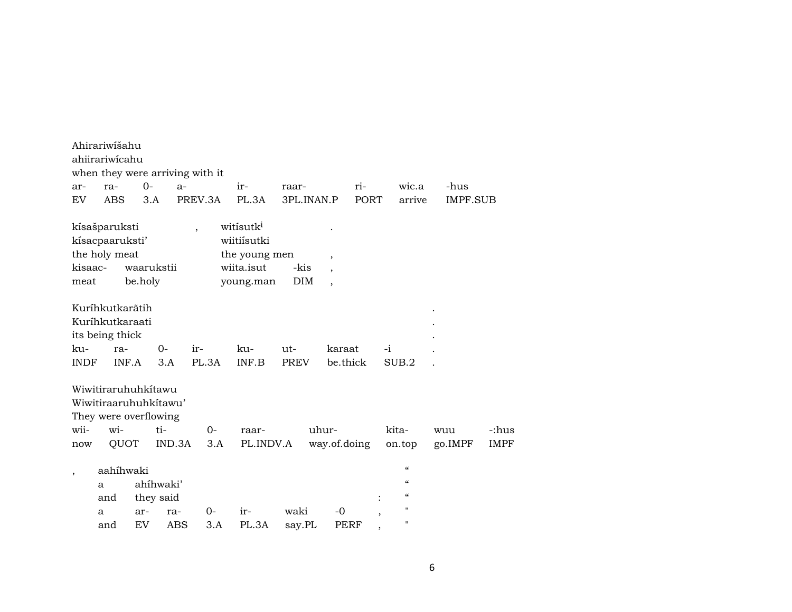|                          | Ahirariwišahu<br>ahiirariwicahu                             |           |                                        | when they were arriving with it |                                                                                  |                |                               |              |      |                                                                                               |                |                      |
|--------------------------|-------------------------------------------------------------|-----------|----------------------------------------|---------------------------------|----------------------------------------------------------------------------------|----------------|-------------------------------|--------------|------|-----------------------------------------------------------------------------------------------|----------------|----------------------|
| ar-                      | ra-                                                         | $0-$      | $a-$                                   |                                 | $ir-$                                                                            | raar-          |                               | ri-          |      | wic.a                                                                                         | -hus           |                      |
| EV                       | <b>ABS</b>                                                  | 3.A       |                                        | PREV.3A                         | PL.3A                                                                            |                | 3PL.INAN.P                    | <b>PORT</b>  |      | arrive                                                                                        | IMPF.SUB       |                      |
| kisaac-<br>meat          | kísašparuksti<br>kísacpaaruksti'<br>the holy meat           | be.holy   | waarukstii                             | $\overline{\phantom{a}}$        | witisutk <sup>i</sup><br>wiitiísutki<br>the young men<br>wiita.isut<br>young.man |                | $\cdot$<br>-kis<br><b>DIM</b> | $\cdot$      |      |                                                                                               |                |                      |
|                          | Kuríhkutkarãtih<br>Kuríhkutkaraati<br>its being thick       |           |                                        |                                 |                                                                                  |                |                               |              |      |                                                                                               |                |                      |
| ku-                      | ra-                                                         |           | $0-$                                   | ir-                             | ku-                                                                              | $ut -$         |                               | karaat       | $-i$ |                                                                                               |                |                      |
| <b>INDF</b>              | INF.A                                                       |           | 3.A                                    | PL.3A                           | INF.B                                                                            | <b>PREV</b>    |                               | be.thick     |      | SUB.2                                                                                         |                |                      |
| wii-<br>now              | Wiwitiraruhuhkítawu<br>They were overflowing<br>wi-<br>QUOT |           | Wiwitiraaruhuhkitawu'<br>ti-<br>IND.3A | $O -$<br>3.A                    | raar-<br>PL.INDV.A                                                               |                | uhur-                         | way.of.doing |      | kita-<br>on.top                                                                               | wuu<br>go.IMPF | -:hus<br><b>IMPF</b> |
| $\overline{\phantom{a}}$ | aahihwaki<br>a<br>and<br>a<br>and                           | ar-<br>EV | ahíhwaki'<br>they said<br>ra-<br>ABS   | $0-$<br>3.A                     | ir-<br>PL.3A                                                                     | waki<br>say.PL |                               | $-0$<br>PERF |      | $\mathcal{C}$<br>$\boldsymbol{\zeta}\boldsymbol{\zeta}$<br>$\mathcal{C}\mathcal{C}$<br>п<br>п |                |                      |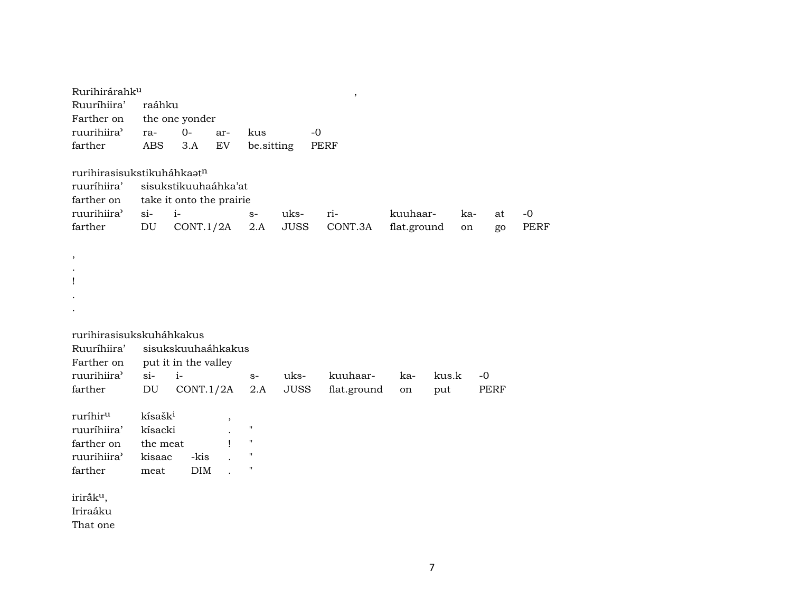| Rurihirárahk <sup>u</sup>                                                         |                            |                                                                       |                            |                    |                     | $\, ,$         |                         |           |             |                     |
|-----------------------------------------------------------------------------------|----------------------------|-----------------------------------------------------------------------|----------------------------|--------------------|---------------------|----------------|-------------------------|-----------|-------------|---------------------|
| Ruuríhiira'                                                                       | raáhku                     |                                                                       |                            |                    |                     |                |                         |           |             |                     |
| Farther on                                                                        |                            | the one yonder                                                        |                            |                    |                     |                |                         |           |             |                     |
| ruurihiira'                                                                       | ra-                        | $O -$                                                                 | ar-                        | kus                |                     | $-0$           |                         |           |             |                     |
| farther                                                                           | <b>ABS</b>                 | 3.A                                                                   | $\mathop{\rm EV}\nolimits$ | be.sitting         |                     | <b>PERF</b>    |                         |           |             |                     |
| rurihirasisukstikuháhkaatn<br>ruuríhiira'<br>farther on<br>ruurihiira'<br>farther | $si-$<br>DU                | sisukstikuuhaáhka'at<br>take it onto the prairie<br>$i-$<br>CONT.1/2A |                            | $S-$<br>2.A        | uks-<br><b>JUSS</b> | ri-<br>CONT.3A | kuuhaar-<br>flat.ground | ka-<br>on | at<br>go    | $-0$<br><b>PERF</b> |
| ,                                                                                 |                            |                                                                       |                            |                    |                     |                |                         |           |             |                     |
|                                                                                   |                            |                                                                       |                            |                    |                     |                |                         |           |             |                     |
| Ţ                                                                                 |                            |                                                                       |                            |                    |                     |                |                         |           |             |                     |
|                                                                                   |                            |                                                                       |                            |                    |                     |                |                         |           |             |                     |
|                                                                                   |                            |                                                                       |                            |                    |                     |                |                         |           |             |                     |
|                                                                                   |                            |                                                                       |                            |                    |                     |                |                         |           |             |                     |
| rurihirasisukskuháhkakus                                                          |                            |                                                                       |                            |                    |                     |                |                         |           |             |                     |
| Ruuríhiira'<br>Farther on                                                         |                            | sisukskuuhaáhkakus<br>put it in the valley                            |                            |                    |                     |                |                         |           |             |                     |
| ruurihiira'                                                                       | $si-$                      | $i-$                                                                  |                            | $S-$               | uks-                | kuuhaar-       | ka-                     | kus.k     | $-0$        |                     |
| farther                                                                           | $\mathop{\rm DU}\nolimits$ | CONT.1/2A                                                             |                            | 2.A                | <b>JUSS</b>         | flat.ground    | on                      | put       | <b>PERF</b> |                     |
|                                                                                   |                            |                                                                       |                            |                    |                     |                |                         |           |             |                     |
| ruríhiru                                                                          | kísašk <sup>i</sup>        |                                                                       |                            |                    |                     |                |                         |           |             |                     |
| ruuríhiira'                                                                       | kísacki                    |                                                                       |                            | $\pmb{\mathsf{H}}$ |                     |                |                         |           |             |                     |
| farther on                                                                        | the meat                   |                                                                       | 1                          | $\pmb{\mathsf{H}}$ |                     |                |                         |           |             |                     |
| ruurihiira'                                                                       | kisaac                     | -kis                                                                  |                            | $\pmb{\mathsf{H}}$ |                     |                |                         |           |             |                     |
| farther                                                                           | meat                       | DIM                                                                   |                            | $\pmb{\mathsf{H}}$ |                     |                |                         |           |             |                     |
| iriråk <sup>u</sup> ,<br>Iriraáku<br>That one                                     |                            |                                                                       |                            |                    |                     |                |                         |           |             |                     |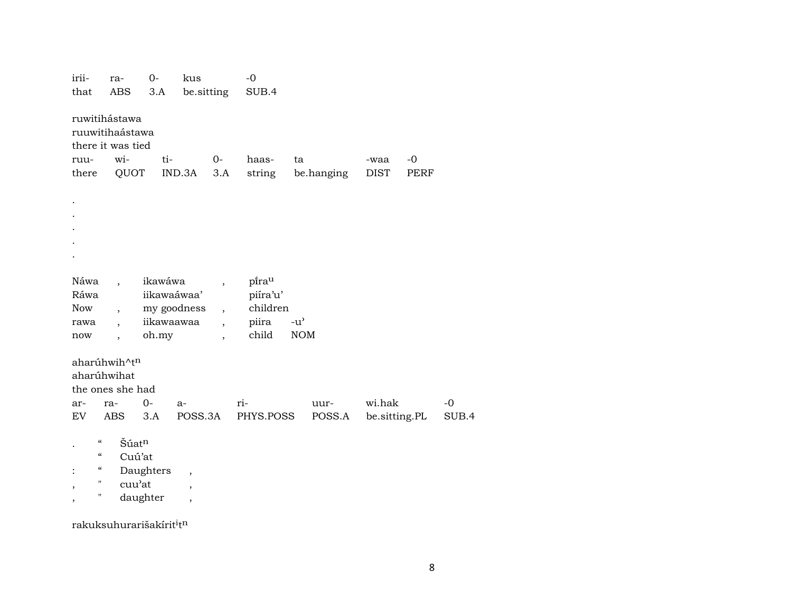| irii-                         | ra-                      | $O -$       | kus                      |                          | $-0$      |                                   |            |               |      |       |
|-------------------------------|--------------------------|-------------|--------------------------|--------------------------|-----------|-----------------------------------|------------|---------------|------|-------|
| that                          | ABS                      | 3.A         | be.sitting               |                          | SUB.4     |                                   |            |               |      |       |
|                               |                          |             |                          |                          |           |                                   |            |               |      |       |
|                               | ruwitihástawa            |             |                          |                          |           |                                   |            |               |      |       |
|                               | ruuwitihaástawa          |             |                          |                          |           |                                   |            |               |      |       |
|                               | there it was tied        |             |                          |                          |           |                                   |            |               |      |       |
| ruu-                          | wi-                      | ti-         |                          | $0-$                     | haas-     | ta                                |            | -waa          | $-0$ |       |
| there                         | QUOT                     |             | IND.3A                   | 3.A                      | string    |                                   | be.hanging | <b>DIST</b>   | PERF |       |
|                               |                          |             |                          |                          |           |                                   |            |               |      |       |
|                               |                          |             |                          |                          |           |                                   |            |               |      |       |
|                               |                          |             |                          |                          |           |                                   |            |               |      |       |
|                               |                          |             |                          |                          |           |                                   |            |               |      |       |
|                               |                          |             |                          |                          |           |                                   |            |               |      |       |
|                               |                          |             |                          |                          |           |                                   |            |               |      |       |
|                               |                          |             |                          |                          |           |                                   |            |               |      |       |
|                               |                          |             |                          |                          |           |                                   |            |               |      |       |
| Náwa                          | $\ddot{\phantom{0}}$     | ikawáwa     |                          | $\overline{\phantom{a}}$ | pirau     |                                   |            |               |      |       |
| Ráwa                          |                          | iikawaáwaa' |                          |                          | piíra'u'  |                                   |            |               |      |       |
| Now                           | $\overline{\phantom{a}}$ | my goodness |                          | $\overline{\phantom{a}}$ | children  |                                   |            |               |      |       |
| rawa                          | $\ddot{\phantom{0}}$     | iikawaawaa  |                          | $\ddot{\phantom{0}}$     | piira     | $-u$ <sup><math>\sim</math></sup> |            |               |      |       |
| now                           | $\overline{\phantom{a}}$ | oh.my       |                          | $\overline{\phantom{a}}$ | child     | <b>NOM</b>                        |            |               |      |       |
|                               |                          |             |                          |                          |           |                                   |            |               |      |       |
|                               | aharúhwih^tn             |             |                          |                          |           |                                   |            |               |      |       |
| aharúhwihat                   |                          |             |                          |                          |           |                                   |            |               |      |       |
|                               | the ones she had         |             |                          |                          |           |                                   |            |               |      |       |
| ar-                           | ra-                      | $O -$       | $a-$                     |                          | ri-       |                                   | uur-       | wi.hak        |      | $-0$  |
| EV                            | ABS                      | 3.A         | POSS.3A                  |                          | PHYS.POSS |                                   | POSS.A     | be.sitting.PL |      | SUB.4 |
|                               |                          |             |                          |                          |           |                                   |            |               |      |       |
| $\mathcal{C}\mathcal{C}$      | Šúat <sup>n</sup>        |             |                          |                          |           |                                   |            |               |      |       |
| $\epsilon\epsilon$            | Cuú'at                   |             |                          |                          |           |                                   |            |               |      |       |
| 4                             |                          | Daughters   |                          |                          |           |                                   |            |               |      |       |
| $\pmb{\mathsf{H}}$            | cuu'at                   |             | $\cdot$                  |                          |           |                                   |            |               |      |       |
| $\overline{\phantom{a}}$<br>П |                          | daughter    | $\overline{\phantom{a}}$ |                          |           |                                   |            |               |      |       |
|                               |                          |             | $\overline{\phantom{a}}$ |                          |           |                                   |            |               |      |       |
|                               |                          |             |                          |                          |           |                                   |            |               |      |       |

rakuksuhurarišakírit<sup>i</sup>t<sup>n</sup>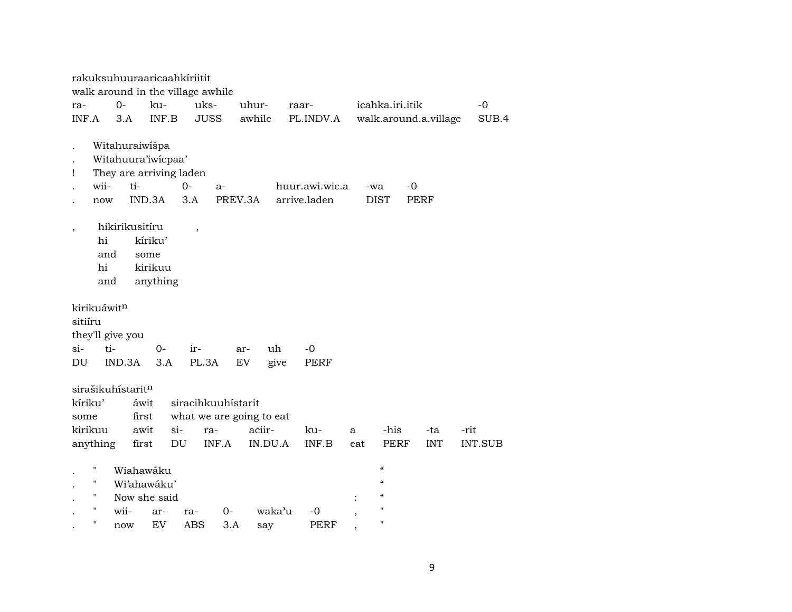|                          |                                  |                   |                         | rakuksuhuuraaricaahkiriitit       |                          |         |                |  |                          |                            |                       |         |  |  |  |
|--------------------------|----------------------------------|-------------------|-------------------------|-----------------------------------|--------------------------|---------|----------------|--|--------------------------|----------------------------|-----------------------|---------|--|--|--|
|                          |                                  |                   |                         | walk around in the village awhile |                          |         |                |  |                          |                            |                       |         |  |  |  |
| ra-                      |                                  | $0-$              | ku-                     | uks-                              |                          | uhur-   | raar-          |  |                          | icahka.iri.itik            |                       | $-0$    |  |  |  |
| INF.A                    |                                  | 3.A               | INF.B                   | <b>JUSS</b>                       |                          | awhile  | PL.INDV.A      |  |                          |                            | walk.around.a.village | SUB.4   |  |  |  |
|                          |                                  |                   |                         |                                   |                          |         |                |  |                          |                            |                       |         |  |  |  |
|                          |                                  | Witahuraiwišpa    |                         |                                   |                          |         |                |  |                          |                            |                       |         |  |  |  |
|                          |                                  |                   | Witahuura'iwicpaa'      |                                   |                          |         |                |  |                          |                            |                       |         |  |  |  |
| Ţ                        |                                  |                   | They are arriving laden |                                   |                          |         |                |  |                          |                            |                       |         |  |  |  |
|                          | wii-                             | ti-               |                         | $0 -$                             | $a-$                     |         | huur.awi.wic.a |  | -wa                      | -0                         |                       |         |  |  |  |
|                          | now                              |                   | IND.3A                  | 3.A                               | PREV.3A                  |         | arrive.laden   |  |                          | <b>DIST</b>                | <b>PERF</b>           |         |  |  |  |
|                          | hikirikusitíru<br>$\overline{ }$ |                   |                         |                                   |                          |         |                |  |                          |                            |                       |         |  |  |  |
| $\overline{\phantom{a}}$ | hi<br>kíriku'                    |                   |                         |                                   |                          |         |                |  |                          |                            |                       |         |  |  |  |
|                          |                                  |                   |                         |                                   |                          |         |                |  |                          |                            |                       |         |  |  |  |
|                          | and<br>some<br>hi<br>kirikuu     |                   |                         |                                   |                          |         |                |  |                          |                            |                       |         |  |  |  |
|                          | and                              |                   | anything                |                                   |                          |         |                |  |                          |                            |                       |         |  |  |  |
|                          |                                  |                   |                         |                                   |                          |         |                |  |                          |                            |                       |         |  |  |  |
|                          |                                  | kirikuáwitn       |                         |                                   |                          |         |                |  |                          |                            |                       |         |  |  |  |
| sitiíru                  |                                  |                   |                         |                                   |                          |         |                |  |                          |                            |                       |         |  |  |  |
|                          |                                  | they'll give you  |                         |                                   |                          |         |                |  |                          |                            |                       |         |  |  |  |
| $si-$                    |                                  | ti-               | $0-$                    | ir-                               | ar-                      | uh      | $-0$           |  |                          |                            |                       |         |  |  |  |
| DU                       |                                  | IND.3A            | 3.A                     | PL.3A                             | EV                       |         | give<br>PERF   |  |                          |                            |                       |         |  |  |  |
|                          |                                  |                   |                         |                                   |                          |         |                |  |                          |                            |                       |         |  |  |  |
|                          |                                  | sirašikuhístaritn |                         |                                   |                          |         |                |  |                          |                            |                       |         |  |  |  |
|                          | kíriku'                          |                   | áwit                    |                                   | siracihkuuhistarit       |         |                |  |                          |                            |                       |         |  |  |  |
| some                     |                                  |                   | first                   |                                   | what we are going to eat |         |                |  |                          |                            |                       |         |  |  |  |
|                          | kirikuu                          |                   | awit                    | $si$ -<br>ra-                     |                          | aciir-  | ku-            |  | a                        | -his                       | -ta                   | -rit    |  |  |  |
|                          | anything                         |                   | first                   | DU                                | INF.A                    | IN.DU.A | INF.B          |  | eat                      | PERF                       | <b>INT</b>            | INT.SUB |  |  |  |
|                          |                                  |                   |                         |                                   |                          |         |                |  |                          |                            |                       |         |  |  |  |
|                          | п                                |                   | Wiahawáku               |                                   |                          |         |                |  |                          | $\pmb{\zeta}\pmb{\zeta}$   |                       |         |  |  |  |
|                          | н                                |                   | Wi'ahawáku'             |                                   |                          |         |                |  |                          | $\boldsymbol{\mathcal{C}}$ |                       |         |  |  |  |
|                          | 11                               |                   | Now she said            |                                   |                          |         |                |  | $\ddot{\cdot}$           | $\mathcal{C}$              |                       |         |  |  |  |
|                          | п                                | wii-              | ar-                     | ra-                               | $0-$                     | waka'u  | -0             |  | $\overline{\phantom{a}}$ | $^{\prime\prime}$          |                       |         |  |  |  |
|                          | п                                | now               | EV                      | <b>ABS</b>                        | 3.A                      | say     | PERF           |  |                          | $^{\prime\prime}$          |                       |         |  |  |  |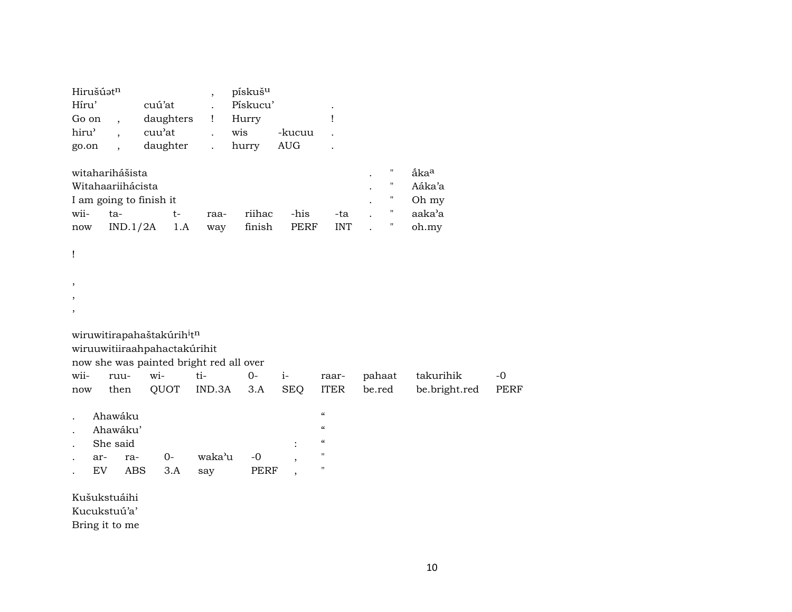| Hirušúatn<br>Híru'<br>Go on<br>hiru'<br>go.on |                  | $\overline{\phantom{a}}$<br>$\overline{\phantom{a}}$<br>$\overline{\phantom{a}}$ | cuú'at<br>daughters<br>cuu'at<br>daughter                                                                         | $\overline{\phantom{a}}$<br>Ţ<br>$\ddot{\phantom{a}}$<br>$\ddot{\phantom{0}}$ | pískuš <sup>u</sup><br>Pískucu'<br>Hurry<br>wis<br>hurry | -kucuu<br><b>AUG</b>     | Ţ                                                                                                              |                                                                            |                                                        |
|-----------------------------------------------|------------------|----------------------------------------------------------------------------------|-------------------------------------------------------------------------------------------------------------------|-------------------------------------------------------------------------------|----------------------------------------------------------|--------------------------|----------------------------------------------------------------------------------------------------------------|----------------------------------------------------------------------------|--------------------------------------------------------|
| wii-<br>now                                   |                  | witaharihášista<br>Witahaariihácista<br>ta-<br>IND.1/2A                          | I am going to finish it<br>t-<br>1.A                                                                              | raa-<br>way                                                                   | riihac<br>finish                                         | -his<br><b>PERF</b>      | -ta<br><b>INT</b>                                                                                              | 11<br>$\pmb{\mathsf{H}}$<br>$\pmb{\mathsf{H}}$<br>$\pmb{\mathsf{H}}$<br>11 | åka <sup>a</sup><br>Aáka'a<br>Oh my<br>aaka'a<br>oh.my |
| ļ<br>$\,$<br>$\,$<br>$\,$                     |                  |                                                                                  |                                                                                                                   |                                                                               |                                                          |                          |                                                                                                                |                                                                            |                                                        |
|                                               |                  |                                                                                  | wiruwitirapahaštakúrih <sup>i</sup> tn<br>wiruuwitiiraahpahactakúrihit<br>now she was painted bright red all over |                                                                               |                                                          |                          |                                                                                                                |                                                                            |                                                        |
| wii-<br>now                                   |                  | ruu-<br>then                                                                     | wi-<br>QUOT                                                                                                       | ti-<br>IND.3A                                                                 | $O -$<br>3.A                                             | $i-$<br><b>SEQ</b>       | raar-<br><b>ITER</b>                                                                                           | pahaat<br>be.red                                                           | takurihik<br>be.bright.red                             |
|                                               | ar-<br><b>EV</b> | Ahawáku<br>Ahawáku'<br>She said<br>ra-<br><b>ABS</b>                             | $0-$<br>3.A                                                                                                       | waka'u<br>say                                                                 | $-0$<br><b>PERF</b>                                      | $\overline{\phantom{a}}$ | $\mathcal{C}$<br>$\boldsymbol{\zeta}\boldsymbol{\zeta}$<br>$\pmb{\zeta}\pmb{\zeta}$<br>п<br>$\pmb{\mathsf{H}}$ |                                                                            |                                                        |
|                                               |                  | Kušukstuáihi<br>Kucukstuú'a'<br>Bring it to me                                   |                                                                                                                   |                                                                               |                                                          |                          |                                                                                                                |                                                                            |                                                        |

-0<br>PERF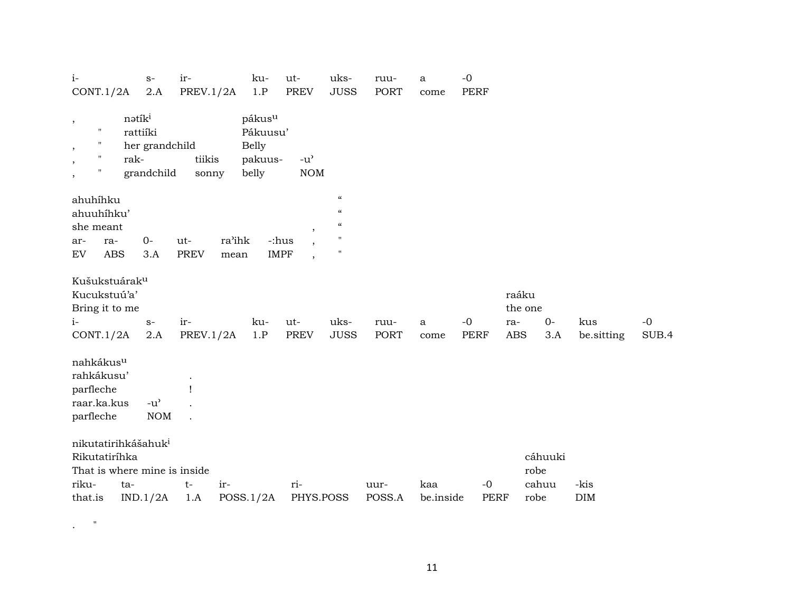| $\it i$ -                                                                                                   | $S-$                                                           | ir-                        | ku-                                                                | ut-                                                              | uks-                                                                                               | ruu-           | a                | $-0$                |                         |                  |             |       |
|-------------------------------------------------------------------------------------------------------------|----------------------------------------------------------------|----------------------------|--------------------------------------------------------------------|------------------------------------------------------------------|----------------------------------------------------------------------------------------------------|----------------|------------------|---------------------|-------------------------|------------------|-------------|-------|
| CONT.1/2A                                                                                                   | $2.A$                                                          | PREV. $1/2A$               | 1.P                                                                | <b>PREV</b>                                                      | <b>JUSS</b>                                                                                        | <b>PORT</b>    | come             | <b>PERF</b>         |                         |                  |             |       |
| $\, ,$<br>$\pmb{\mathsf{H}}$<br>$^{\prime}$<br>$\,$<br>"<br>rak-<br>,<br>"<br>$\,$                          | nətík <sup>i</sup><br>rattiíki<br>her grandchild<br>grandchild | tiikis<br>sonny            | pákus <sup>u</sup><br>Pákuusu'<br><b>Belly</b><br>pakuus-<br>belly | $-u^{\prime}$<br>$\rm{NOM}$                                      |                                                                                                    |                |                  |                     |                         |                  |             |       |
| ahuhíhku<br>ahuuhíhku'<br>she meant                                                                         |                                                                |                            |                                                                    |                                                                  | $\boldsymbol{\mathcal{C}}$<br>$\boldsymbol{\mathcal{C}}$<br>$\boldsymbol{\zeta}\boldsymbol{\zeta}$ |                |                  |                     |                         |                  |             |       |
| ra-<br>ar-<br>EV<br><b>ABS</b>                                                                              | $0-$<br>3.A                                                    | ut-<br><b>PREV</b><br>mean | ra'ihk                                                             | ,<br>-:hus<br>$\overline{\phantom{a}}$<br><b>IMPF</b><br>$\cdot$ | $^{\prime}$<br>$^{\prime}$                                                                         |                |                  |                     |                         |                  |             |       |
| Kušukstuárak <sup>u</sup><br>Kucukstuú'a'<br>Bring it to me<br>$i-$                                         | $S-$                                                           | ir-                        | ku-                                                                | ut-                                                              | uks-                                                                                               | ruu-           | a                | $-0$                | raáku<br>the one<br>ra- | $O -$            | kus         | $-0$  |
| CONT.1/2A                                                                                                   | $2.A$                                                          | PREV.1/2A                  | 1.P                                                                | <b>PREV</b>                                                      | <b>JUSS</b>                                                                                        | PORT           | come             | <b>PERF</b>         | <b>ABS</b>              | 3.A              | be.sitting  | SUB.4 |
| nahkákus <sup>u</sup><br>rahkákusu'<br>parfleche<br>raar.ka.kus<br>parfleche                                | $-u$ <sup><math>\prime</math></sup><br><b>NOM</b>              |                            |                                                                    |                                                                  |                                                                                                    |                |                  |                     |                         |                  |             |       |
| nikutatirihkášahuk <sup>i</sup><br>Rikutatiríhka<br>That is where mine is inside<br>riku-<br>ta-<br>that.is | IND.1/2A                                                       | ir-<br>$t-$<br>1.A         | POSS.1/2A                                                          | ri-<br>PHYS.POSS                                                 |                                                                                                    | uur-<br>POSS.A | kaa<br>be.inside | $-0$<br><b>PERF</b> | robe<br>robe            | cáhuuki<br>cahuu | -kis<br>DIM |       |

 $\mathbf{r}$  .  $\mathbf{r}$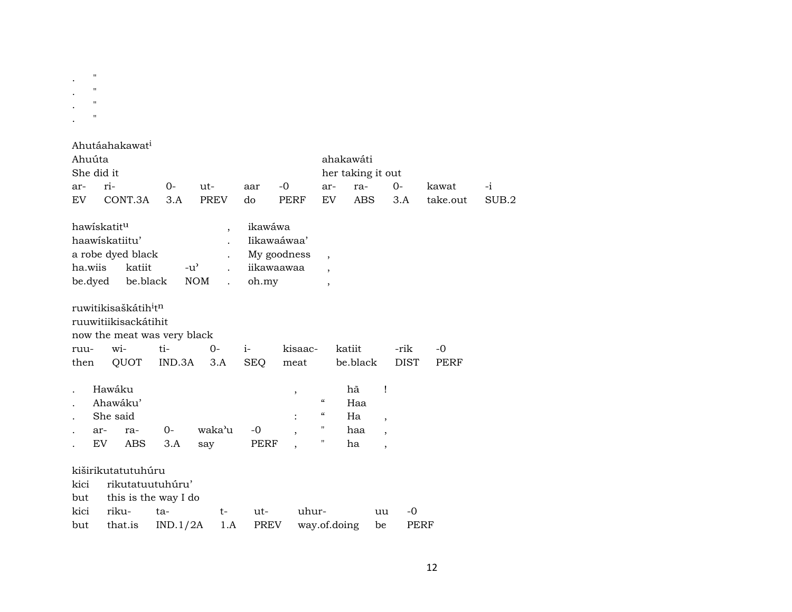.  $\mathbb{R}^n$ .  $\sim$ . " . "

|         |             | Ahutáahakawat <sup>i</sup>                   |          |                                       |             |             |                          |                   |                          |             |          |       |
|---------|-------------|----------------------------------------------|----------|---------------------------------------|-------------|-------------|--------------------------|-------------------|--------------------------|-------------|----------|-------|
| Ahuúta  |             |                                              |          |                                       |             |             |                          | ahakawáti         |                          |             |          |       |
|         | She did it  |                                              |          |                                       |             |             |                          | her taking it out |                          |             |          |       |
| ar-     | ri-         |                                              | 0-       | ut-                                   | aar         | -0          | ar-                      | ra-               |                          | 0-          | kawat    | -i    |
| EV      |             | CONT.3A                                      | 3.A      | <b>PREV</b>                           | do          | PERF        | EV                       | <b>ABS</b>        |                          | 3.A         | take.out | SUB.2 |
|         | hawiskatitu |                                              |          | $\overline{\phantom{a}}$              | ikawáwa     |             |                          |                   |                          |             |          |       |
|         |             | haawiskatiitu'                               |          |                                       | Iikawaáwaa' |             |                          |                   |                          |             |          |       |
|         |             | a robe dyed black                            |          |                                       |             | My goodness | $\overline{\phantom{a}}$ |                   |                          |             |          |       |
| ha.wiis |             | katiit                                       |          | $-u^{\prime}$<br>$\ddot{\phantom{0}}$ | iikawaawaa  |             | $\overline{\phantom{a}}$ |                   |                          |             |          |       |
|         | be.dyed     | be.black                                     |          | <b>NOM</b><br>$\ddot{\phantom{0}}$    | oh.my       |             | $\overline{\phantom{a}}$ |                   |                          |             |          |       |
|         |             | ruwitikisaškátih <sup>i</sup> t <sup>n</sup> |          |                                       |             |             |                          |                   |                          |             |          |       |
|         |             | ruuwitiikisackátihit                         |          |                                       |             |             |                          |                   |                          |             |          |       |
|         |             | now the meat was very black                  |          |                                       |             |             |                          |                   |                          |             |          |       |
| ruu-    |             | wi-                                          | ti-      | $0-$                                  | $i-$        | kisaac-     |                          | katiit            |                          | -rik        | $-0$     |       |
| then    |             | QUOT                                         | IND.3A   | 3.A                                   | <b>SEQ</b>  | meat        |                          | be.black          |                          | <b>DIST</b> | PERF     |       |
|         | Hawáku      |                                              |          |                                       |             |             |                          | hã                | Ţ                        |             |          |       |
|         |             | Ahawáku'                                     |          |                                       |             | $\, ,$      | $\mathcal{C}$            | Haa               |                          |             |          |       |
|         |             | She said                                     |          |                                       |             |             | 4                        | Ha                |                          |             |          |       |
|         | ar-         | ra-                                          | $O -$    | waka'u                                | $-0$        |             | п                        | haa               | $\overline{\phantom{a}}$ |             |          |       |
|         | EV          | <b>ABS</b>                                   | 3.A      | say                                   | PERF        |             | 11                       | ha                | $\overline{\phantom{a}}$ |             |          |       |
|         |             |                                              |          |                                       |             |             |                          |                   | $\overline{\phantom{a}}$ |             |          |       |
|         |             | kiširikutatutuhúru                           |          |                                       |             |             |                          |                   |                          |             |          |       |
| kici    |             | rikutatuutuhúru'                             |          |                                       |             |             |                          |                   |                          |             |          |       |
| but     |             | this is the way I do                         |          |                                       |             |             |                          |                   |                          |             |          |       |
| kici    |             | riku-                                        | ta-      | $t-$                                  | ut-         | uhur-       |                          |                   | uu                       | $-0$        |          |       |
| but     |             | that.is                                      | IND.1/2A | 1.A                                   | PREV        |             | way.of.doing             |                   | be                       | PERF        |          |       |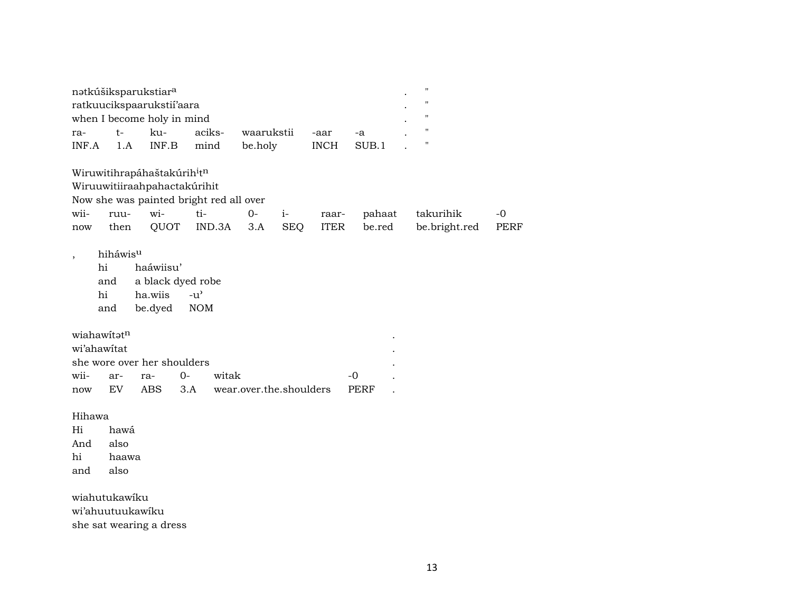|             | natkúšiksparukstiar <sup>a</sup> |                                                     |               |        |                         |            |             |             |               |             |
|-------------|----------------------------------|-----------------------------------------------------|---------------|--------|-------------------------|------------|-------------|-------------|---------------|-------------|
|             |                                  | ratkuucikspaarukstii'aara                           |               |        |                         |            |             |             | П             |             |
|             |                                  | when I become holy in mind                          |               |        |                         |            |             |             | "             |             |
| ra-         | $t-$                             | ku-                                                 |               | aciks- | waarukstii              |            | -aar        | -a          | "             |             |
| INF.A       | 1.A                              | INF.B                                               |               | mind   | be.holy                 |            | <b>INCH</b> | SUB.1       | н             |             |
|             |                                  | Wiruwitihrapáhaštakúrih <sup>i</sup> t <sup>n</sup> |               |        |                         |            |             |             |               |             |
|             |                                  | Wiruuwitiiraahpahactakúrihit                        |               |        |                         |            |             |             |               |             |
|             |                                  | Now she was painted bright red all over             |               |        |                         |            |             |             |               |             |
| wii-        | ruu-                             | wi-                                                 | ti-           |        | $O -$                   | $i-$       | raar-       | pahaat      | takurihik     | $-0$        |
| now         | then                             | QUOT                                                |               | IND.3A | 3.A                     | <b>SEQ</b> | <b>ITER</b> | be.red      | be.bright.red | <b>PERF</b> |
| ,           | hiháwisu                         |                                                     |               |        |                         |            |             |             |               |             |
|             | hi                               | haáwiisu'                                           |               |        |                         |            |             |             |               |             |
|             |                                  |                                                     |               |        |                         |            |             |             |               |             |
|             | and                              | a black dyed robe                                   |               |        |                         |            |             |             |               |             |
|             | hi                               | ha.wiis                                             | $-u^{\prime}$ |        |                         |            |             |             |               |             |
|             | and                              | be.dyed                                             | <b>NOM</b>    |        |                         |            |             |             |               |             |
|             |                                  |                                                     |               |        |                         |            |             |             |               |             |
|             | wiahawitatn                      |                                                     |               |        |                         |            |             |             |               |             |
| wi'ahawitat |                                  |                                                     |               |        |                         |            |             |             |               |             |
|             |                                  | she wore over her shoulders                         |               |        |                         |            |             |             |               |             |
| wii-        | ar-                              | ra-                                                 | $0-$          | witak  |                         |            |             | $-0$        |               |             |
| now         | EV                               | <b>ABS</b>                                          | 3.A           |        | wear.over.the.shoulders |            |             | <b>PERF</b> |               |             |
| Hihawa      |                                  |                                                     |               |        |                         |            |             |             |               |             |
| Hi          | hawá                             |                                                     |               |        |                         |            |             |             |               |             |
| And         | also                             |                                                     |               |        |                         |            |             |             |               |             |
| hi          | haawa                            |                                                     |               |        |                         |            |             |             |               |             |

she sat wearing a dress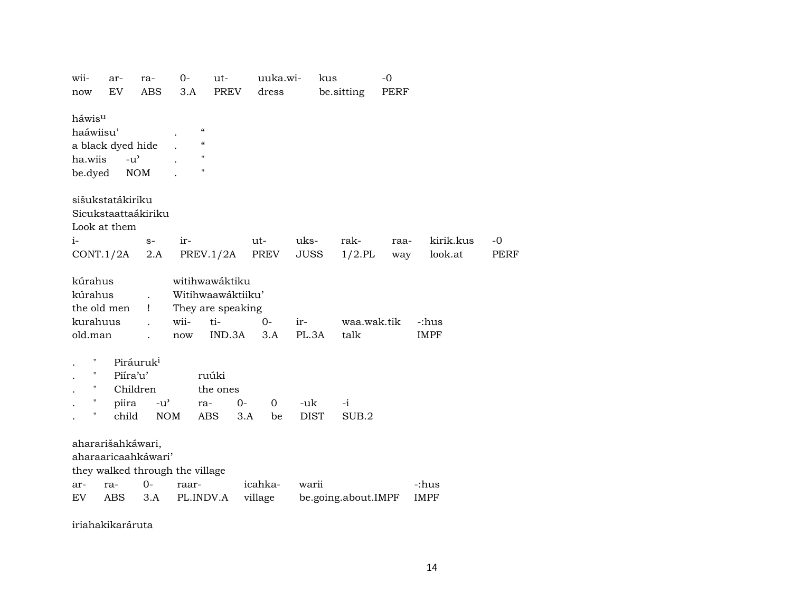| W11-               | ar-       |                                     | ra-                                 | 0-    | ut-                |     | uuka.wi-       |             | kus |                     | $-0$ |             |           |      |
|--------------------|-----------|-------------------------------------|-------------------------------------|-------|--------------------|-----|----------------|-------------|-----|---------------------|------|-------------|-----------|------|
| now                | <b>EV</b> |                                     | <b>ABS</b>                          | 3.A   | <b>PREV</b>        |     | dress          |             |     | be.sitting          | PERF |             |           |      |
|                    |           |                                     |                                     |       |                    |     |                |             |     |                     |      |             |           |      |
| háwis <sup>u</sup> |           |                                     |                                     |       |                    |     |                |             |     |                     |      |             |           |      |
| haáwiisu'          |           |                                     |                                     |       | $\mathcal{C}$      |     |                |             |     |                     |      |             |           |      |
| a black dyed hide  |           |                                     |                                     |       | $\mathcal{C}$      |     |                |             |     |                     |      |             |           |      |
| ha.wiis            |           | $-u$ <sup><math>\prime</math></sup> |                                     |       | $\mathbf H$        |     |                |             |     |                     |      |             |           |      |
| be.dyed            |           | <b>NOM</b>                          |                                     |       | $\pmb{\mathsf{H}}$ |     |                |             |     |                     |      |             |           |      |
|                    |           |                                     |                                     |       |                    |     |                |             |     |                     |      |             |           |      |
|                    |           |                                     |                                     |       |                    |     |                |             |     |                     |      |             |           |      |
| sišukstatákiriku   |           |                                     |                                     |       |                    |     |                |             |     |                     |      |             |           |      |
|                    |           |                                     | Sicukstaattaákiriku                 |       |                    |     |                |             |     |                     |      |             |           |      |
| Look at them       |           |                                     |                                     |       |                    |     |                |             |     |                     |      |             |           |      |
| $i-$               |           |                                     | $S-$                                | ir-   |                    |     | ut-            | uks-        |     | rak-                | raa- |             | kirik.kus | $-0$ |
| CONT.1/2A          |           |                                     | 2.A                                 |       | PREV.1/2A          |     | PREV           | <b>JUSS</b> |     | $1/2$ .PL           | way  |             | look.at   | PERF |
|                    |           |                                     |                                     |       |                    |     |                |             |     |                     |      |             |           |      |
| kúrahus            |           |                                     |                                     |       | witihwawáktiku     |     |                |             |     |                     |      |             |           |      |
| kúrahus            |           |                                     |                                     |       | Witihwaawáktiiku'  |     |                |             |     |                     |      |             |           |      |
| the old men        |           |                                     | 1                                   |       | They are speaking  |     |                |             |     |                     |      |             |           |      |
| kurahuus           |           |                                     |                                     | wii-  | ti-                |     | $0-$           | ir-         |     | waa.wak.tik         |      | -:hus       |           |      |
| old.man            |           |                                     |                                     | now   | IND.3A             |     | 3.A            | PL.3A       |     | talk                |      | <b>IMPF</b> |           |      |
|                    |           |                                     |                                     |       |                    |     |                |             |     |                     |      |             |           |      |
| $\pmb{\mathsf{H}}$ |           | Piráuruk <sup>i</sup>               |                                     |       |                    |     |                |             |     |                     |      |             |           |      |
| $\pmb{\mathsf{H}}$ |           | Piíra'u'                            |                                     |       | ruúki              |     |                |             |     |                     |      |             |           |      |
| $\pmb{\mathsf{H}}$ |           | Children                            |                                     |       | the ones           |     |                |             |     |                     |      |             |           |      |
| $\pmb{\mathsf{H}}$ |           | piira                               | $-u$ <sup><math>\prime</math></sup> |       | ra-                | 0-  | $\overline{0}$ | -uk         |     | $-i$                |      |             |           |      |
| $\pmb{\mathsf{H}}$ |           | child                               | <b>NOM</b>                          |       | <b>ABS</b>         | 3.A | be             | <b>DIST</b> |     | SUB.2               |      |             |           |      |
|                    |           |                                     |                                     |       |                    |     |                |             |     |                     |      |             |           |      |
|                    |           |                                     |                                     |       |                    |     |                |             |     |                     |      |             |           |      |
| ahararišahkáwari,  |           |                                     |                                     |       |                    |     |                |             |     |                     |      |             |           |      |
|                    |           |                                     | aharaaricaahkáwari'                 |       |                    |     |                |             |     |                     |      |             |           |      |
|                    |           |                                     | they walked through the village     |       |                    |     |                |             |     |                     |      |             |           |      |
| ar-                | ra-       |                                     | $0-$                                | raar- |                    |     | icahka-        | warii       |     |                     |      | -:hus       |           |      |
| EV.                | ABS       |                                     | 3.A                                 |       | PL.INDV.A          |     | village        |             |     | be.going.about.IMPF |      | <b>IMPF</b> |           |      |
|                    |           |                                     |                                     |       |                    |     |                |             |     |                     |      |             |           |      |

iriahakikaráruta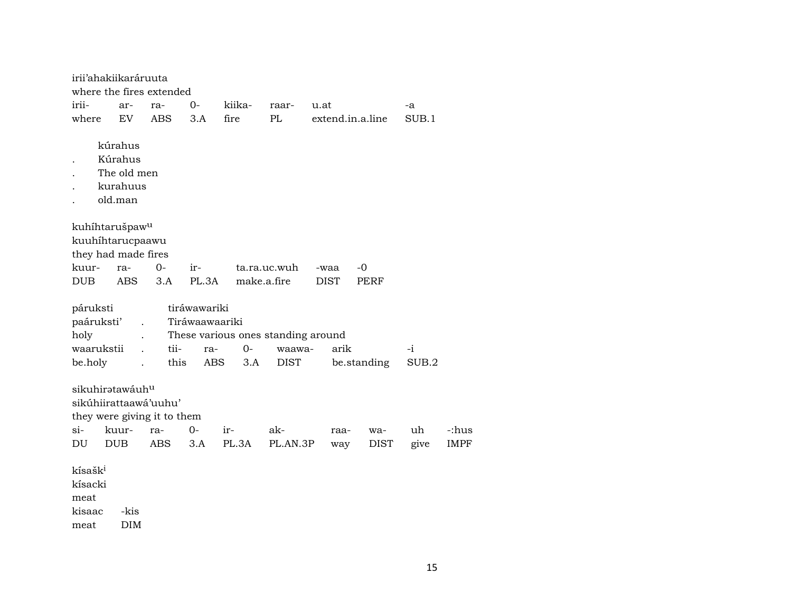| irii'ahakiikaráruuta                                                  |                                                          |                                           |                                              |                                                   |                       |             |                    |             |                      |
|-----------------------------------------------------------------------|----------------------------------------------------------|-------------------------------------------|----------------------------------------------|---------------------------------------------------|-----------------------|-------------|--------------------|-------------|----------------------|
|                                                                       |                                                          | where the fires extended                  |                                              |                                                   |                       |             |                    |             |                      |
| irii-                                                                 | ar-                                                      | ra-                                       | 0-                                           | kiika-                                            | raar-                 | u.at        |                    | -a          |                      |
| where                                                                 | EV                                                       | ABS                                       | 3.A                                          | fire                                              | PL                    |             | extend.in.a.line   | SUB.1       |                      |
|                                                                       | kúrahus<br>Kúrahus<br>The old men<br>kurahuus<br>old.man |                                           |                                              |                                                   |                       |             |                    |             |                      |
| kuhíhtarušpaw <sup>u</sup><br>kuuhihtarucpaawu<br>they had made fires |                                                          |                                           |                                              |                                                   |                       |             |                    |             |                      |
| kuur-                                                                 | ra-                                                      | 0-                                        | ir-                                          |                                                   | ta.ra.uc.wuh          | -waa        | -0                 |             |                      |
| <b>DUB</b>                                                            | <b>ABS</b>                                               | 3.A                                       | PL.3A                                        | make.a.fire                                       |                       | <b>DIST</b> | PERF               |             |                      |
| páruksti<br>paáruksti'<br>holy<br>waarukstii<br>be.holy               |                                                          | tii-<br>this                              | tiráwawariki<br>Tiráwaawaariki<br>ra-<br>ABS | These various ones standing around<br>$0-$<br>3.A | waawa-<br><b>DIST</b> | arik        | be.standing        | -i<br>SUB.2 |                      |
| sikuhiratawáuhu<br>sikúhiirattaawá'uuhu'<br>$\sin$<br>DU              | kuur-<br><b>DUB</b>                                      | they were giving it to them<br>ra-<br>ABS | $0-$<br>3.A                                  | $ir-$<br>PL.3A                                    | ak-<br>PL.AN.3P       | raa-<br>way | wa-<br><b>DIST</b> | uh<br>give  | -:hus<br><b>IMPF</b> |
| kísašk <sup>i</sup><br>kísacki<br>meat<br>kisaac<br>meat              | -kis<br><b>DIM</b>                                       |                                           |                                              |                                                   |                       |             |                    |             |                      |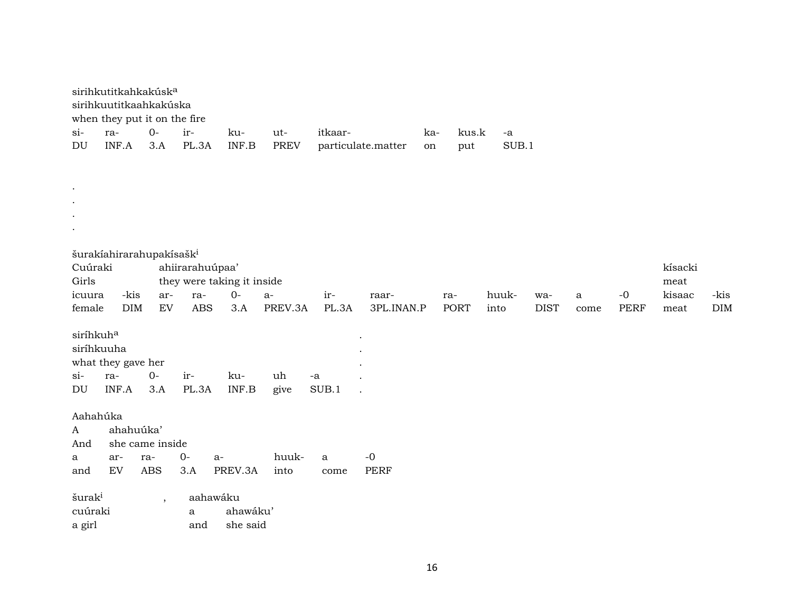|                            | sirihkutitkahkakúsk <sup>a</sup><br>sirihkuutitkaahkakúska<br>when they put it on the fire |                        |                            |                      |             |              |                    |     |             |       |             |      |             |         |            |
|----------------------------|--------------------------------------------------------------------------------------------|------------------------|----------------------------|----------------------|-------------|--------------|--------------------|-----|-------------|-------|-------------|------|-------------|---------|------------|
| $\sin$                     | ra-                                                                                        | $O-$                   | ir-                        | ku-                  | ut-         | itkaar-      |                    | ka- | kus.k       | $-a$  |             |      |             |         |            |
| $\mathop{\rm DU}\nolimits$ | INF.A                                                                                      | 3.A                    | PL.3A                      | INF.B                | <b>PREV</b> |              | particulate.matter | on  | put         | SUB.1 |             |      |             |         |            |
|                            |                                                                                            |                        |                            |                      |             |              |                    |     |             |       |             |      |             |         |            |
| $\bullet$                  |                                                                                            |                        |                            |                      |             |              |                    |     |             |       |             |      |             |         |            |
| $\bullet$                  |                                                                                            |                        |                            |                      |             |              |                    |     |             |       |             |      |             |         |            |
| $\bullet$                  |                                                                                            |                        |                            |                      |             |              |                    |     |             |       |             |      |             |         |            |
| $\bullet$                  |                                                                                            |                        |                            |                      |             |              |                    |     |             |       |             |      |             |         |            |
|                            | šurakíahirarahupakísašk <sup>i</sup>                                                       |                        |                            |                      |             |              |                    |     |             |       |             |      |             |         |            |
| Cuúraki                    |                                                                                            |                        | ahiirarahuúpaa'            |                      |             |              |                    |     |             |       |             |      |             | kísacki |            |
| Girls                      |                                                                                            |                        | they were taking it inside |                      |             |              |                    |     |             |       |             |      |             | meat    |            |
| icuura                     | -kis                                                                                       | ar-                    | ra-                        | $O -$                | $a-$        | ir-          | raar-              |     | ra-         | huuk- | wa-         | a    | $-0$        | kisaac  | -kis       |
| female                     | DIM                                                                                        | ${\rm EV}$             | ABS                        | 3.A                  | PREV.3A     | PL.3A        | 3PL.INAN.P         |     | <b>PORT</b> | into  | <b>DIST</b> | come | <b>PERF</b> | meat    | <b>DIM</b> |
| siríhkuh <sup>a</sup>      |                                                                                            |                        |                            |                      |             |              |                    |     |             |       |             |      |             |         |            |
| siríhkuuha                 |                                                                                            |                        |                            |                      |             |              |                    |     |             |       |             |      |             |         |            |
| $si$ -                     | what they gave her<br>ra-                                                                  | $O -$                  | ir-                        | ku-                  | uh          | -a           |                    |     |             |       |             |      |             |         |            |
| DU                         | INF.A                                                                                      | 3.A                    | PL.3A                      | INF.B                | give        | SUB.1        |                    |     |             |       |             |      |             |         |            |
|                            |                                                                                            |                        |                            |                      |             |              |                    |     |             |       |             |      |             |         |            |
| Aahahúka                   |                                                                                            |                        |                            |                      |             |              |                    |     |             |       |             |      |             |         |            |
| $\mathbf{A}$               | ahahuúka'                                                                                  |                        |                            |                      |             |              |                    |     |             |       |             |      |             |         |            |
| And<br>a                   | ar-                                                                                        | she came inside<br>ra- | $O-$<br>$a-$               |                      | huuk-       | $\mathbf{a}$ | $-0$               |     |             |       |             |      |             |         |            |
| and                        | EV                                                                                         | <b>ABS</b>             | 3.A                        | PREV.3A              | into        | come         | <b>PERF</b>        |     |             |       |             |      |             |         |            |
|                            |                                                                                            |                        |                            |                      |             |              |                    |     |             |       |             |      |             |         |            |
| šurak <sup>i</sup>         |                                                                                            | $\overline{ }$         | aahawáku                   |                      |             |              |                    |     |             |       |             |      |             |         |            |
| cuúraki                    |                                                                                            |                        | a<br>and                   | ahawáku'<br>she said |             |              |                    |     |             |       |             |      |             |         |            |
| a girl                     |                                                                                            |                        |                            |                      |             |              |                    |     |             |       |             |      |             |         |            |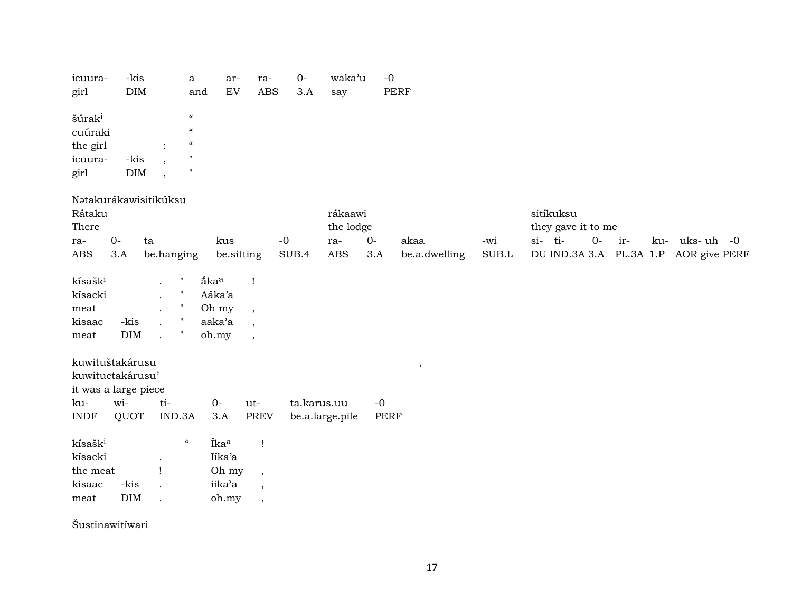| icuura-<br>girl     | -kis                  | $\rm{DIM}$                             |                                        | $\mathbf a$<br>and | ar-<br>EV                | ra-<br><b>ABS</b>        | $0-$<br>3.A | waka'u<br>say   | $-0$        | <b>PERF</b>   |             |                                       |     |                |
|---------------------|-----------------------|----------------------------------------|----------------------------------------|--------------------|--------------------------|--------------------------|-------------|-----------------|-------------|---------------|-------------|---------------------------------------|-----|----------------|
|                     |                       |                                        |                                        |                    |                          |                          |             |                 |             |               |             |                                       |     |                |
| šúrak <sup>i</sup>  |                       |                                        | $\boldsymbol{\zeta}\boldsymbol{\zeta}$ |                    |                          |                          |             |                 |             |               |             |                                       |     |                |
| cuúraki             |                       |                                        | $\pmb{\mathcal{C}}$                    |                    |                          |                          |             |                 |             |               |             |                                       |     |                |
| the girl            |                       |                                        | $\pmb{\zeta}\pmb{\zeta}$               |                    |                          |                          |             |                 |             |               |             |                                       |     |                |
| icuura-             | -kis                  |                                        | $\pmb{\mathsf{H}}$                     |                    |                          |                          |             |                 |             |               |             |                                       |     |                |
| girl                |                       | $\rm{DIM}$<br>$\overline{\phantom{a}}$ | $^{\prime}$                            |                    |                          |                          |             |                 |             |               |             |                                       |     |                |
|                     | Nətakurákawisitikúksu |                                        |                                        |                    |                          |                          |             |                 |             |               |             |                                       |     |                |
| Rátaku              |                       |                                        |                                        |                    |                          |                          |             | rákaawi         |             |               |             | sitíkuksu                             |     |                |
| There               |                       |                                        |                                        |                    |                          |                          |             | the lodge       |             |               |             | they gave it to me                    |     |                |
| ra-                 | $0-$                  | ta                                     |                                        | kus                |                          | $-0$                     |             | ra-             | $O -$       | akaa          | -wi         | si-ti-<br>$O-$                        | ir- | ku- uks- uh -0 |
| <b>ABS</b>          | 3.A                   |                                        | be.hanging                             |                    | be.sitting               |                          | SUB.4       | <b>ABS</b>      | 3.A         | be.a.dwelling | $\rm SUB.L$ | DU IND.3A 3.A PL.3A 1.P AOR give PERF |     |                |
| kísašk <sup>i</sup> |                       |                                        | $\pmb{\mathsf{H}}$                     | ákaa               | $\mathbf{I}$             |                          |             |                 |             |               |             |                                       |     |                |
| kísacki             |                       |                                        | $\pmb{\mathsf{H}}$                     | Aáka'a             |                          |                          |             |                 |             |               |             |                                       |     |                |
| meat                |                       |                                        | $\pmb{\mathsf{H}}$                     | Oh my              | $\overline{\phantom{a}}$ |                          |             |                 |             |               |             |                                       |     |                |
| kisaac              | -kis                  |                                        | $\pmb{\mathsf{H}}$                     | aaka'a             | $\overline{\phantom{a}}$ |                          |             |                 |             |               |             |                                       |     |                |
| meat                | DIM                   |                                        | $\pmb{\mathsf{H}}$                     | oh.my              | $\overline{\phantom{a}}$ |                          |             |                 |             |               |             |                                       |     |                |
|                     | kuwituštakárusu       |                                        |                                        |                    |                          |                          |             |                 |             | $\,$          |             |                                       |     |                |
|                     | kuwituctakárusu'      |                                        |                                        |                    |                          |                          |             |                 |             |               |             |                                       |     |                |
|                     | it was a large piece  |                                        |                                        |                    |                          |                          |             |                 |             |               |             |                                       |     |                |
| ku-                 | wi-                   |                                        | ti-                                    | $0-$               | ut-                      |                          | ta.karus.uu |                 | $-0$        |               |             |                                       |     |                |
| <b>INDF</b>         | QUOT                  |                                        | IND.3A                                 | 3.A                |                          | <b>PREV</b>              |             | be.a.large.pile | <b>PERF</b> |               |             |                                       |     |                |
| kísašk <sup>i</sup> |                       |                                        | $\boldsymbol{\mathcal{G}}$             | Íka <sup>a</sup>   |                          | $\mathbf{I}$             |             |                 |             |               |             |                                       |     |                |
| kísacki             |                       |                                        |                                        | Iika'a             |                          |                          |             |                 |             |               |             |                                       |     |                |
| the meat            |                       | Ţ                                      |                                        | Oh my              |                          | $\overline{\phantom{a}}$ |             |                 |             |               |             |                                       |     |                |
| kisaac              | -kis                  |                                        |                                        | iika'a             |                          | $\overline{\phantom{a}}$ |             |                 |             |               |             |                                       |     |                |
| meat                | <b>DIM</b>            | $\overline{a}$                         |                                        | oh.my              |                          | $\overline{\phantom{a}}$ |             |                 |             |               |             |                                       |     |                |
|                     | Šustinawitíwari       |                                        |                                        |                    |                          |                          |             |                 |             |               |             |                                       |     |                |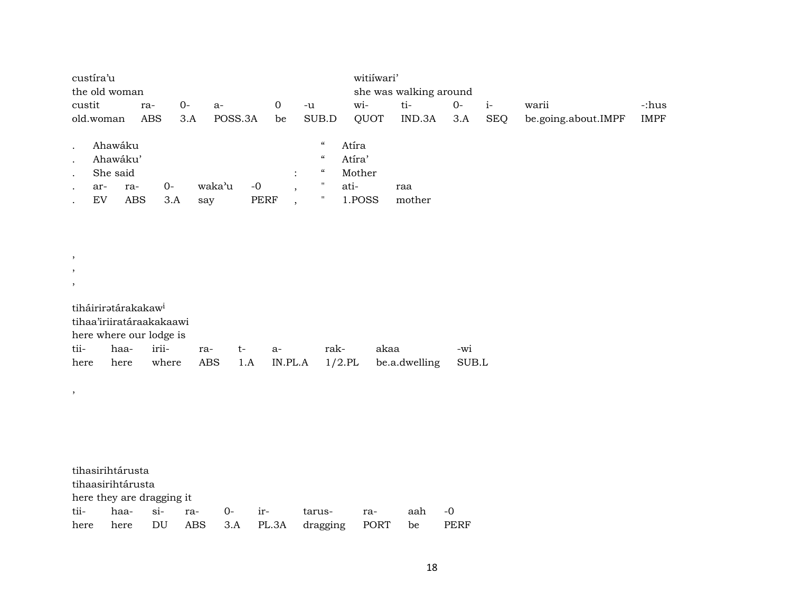|           | custíra'u     |     |     |     |         |      |                |                                        | witiiwari' |                        |      |            |                     |             |
|-----------|---------------|-----|-----|-----|---------|------|----------------|----------------------------------------|------------|------------------------|------|------------|---------------------|-------------|
|           | the old woman |     |     |     |         |      |                |                                        |            | she was walking around |      |            |                     |             |
| custit    |               | ra- |     | 0-  | $a-$    |      | 0              | -u                                     | wi-        | ti-                    | $0-$ | $1-$       | warii               | -:hus       |
|           | old.woman     | ABS |     | 3.A | POSS.3A |      | be             | SUB.D                                  | QUOT       | IND.3A                 | 3.A  | <b>SEQ</b> | be.going.about.IMPF | <b>IMPF</b> |
|           |               |     |     |     |         |      |                |                                        |            |                        |      |            |                     |             |
|           | Ahawáku       |     |     |     |         |      |                | $\boldsymbol{\mathcal{G}}$             | Atíra      |                        |      |            |                     |             |
|           | Ahawáku'      |     |     |     |         |      |                | $\boldsymbol{\zeta}\boldsymbol{\zeta}$ | Atíra'     |                        |      |            |                     |             |
| $\bullet$ | She said      |     |     |     |         |      | $\ddot{\cdot}$ | $\epsilon$                             | Mother     |                        |      |            |                     |             |
|           | ar-           | ra- | 0-  |     | waka'u  | -0   |                |                                        | ati-       | raa                    |      |            |                     |             |
|           | EV            | ABS | 3.A |     | say     | PERF |                | п                                      | 1.POSS     | mother                 |      |            |                     |             |

| $\cdot$ |                                 |                     |      |      |      |                                                      |       |
|---------|---------------------------------|---------------------|------|------|------|------------------------------------------------------|-------|
|         | tiháirirətárakakaw <sup>i</sup> |                     |      |      |      |                                                      |       |
|         | tihaa'iriiratáraakakaawi        |                     |      |      |      |                                                      |       |
|         | here where our lodge is         |                     |      |      |      |                                                      |       |
|         |                                 | tii- haa- irii- ra- | $t-$ | - a- | rak- | akaa                                                 | -wi   |
|         |                                 |                     |      |      |      | here here where ABS 1.A IN.PL.A 1/2.PL be.a.dwelling | SUB.L |

, ,

,

|      | tihasirihtárusta          |  |          |                                     |     |        |      |
|------|---------------------------|--|----------|-------------------------------------|-----|--------|------|
|      | tihaasirihtárusta         |  |          |                                     |     |        |      |
|      | here they are dragging it |  |          |                                     |     |        |      |
|      | tii- haa- si- ra-         |  | $0-$ ir- | tarus-                              | ra- | aah -0 |      |
| here |                           |  |          | here DU ABS 3.A PL.3A dragging PORT |     | be     | PERF |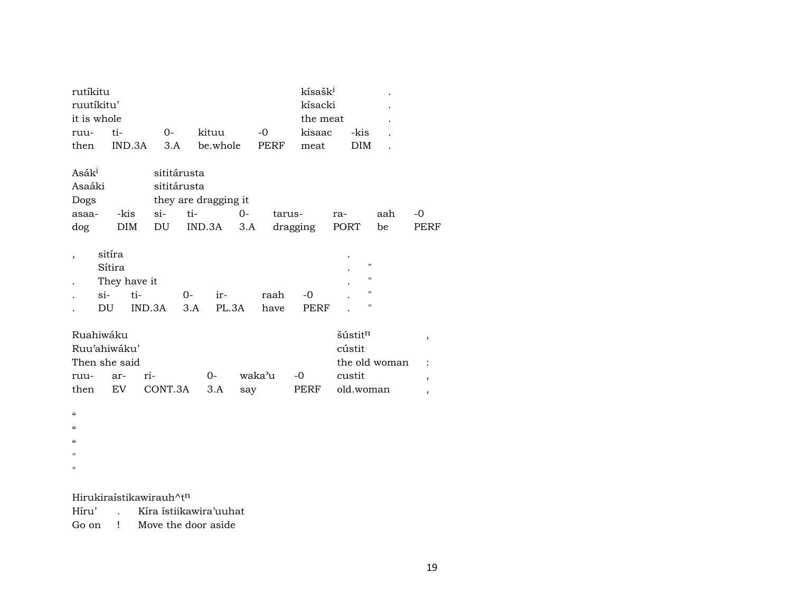| rutíkitu          |               |               |             |                      |        | kísašk <sup>i</sup> |                |     |                          |
|-------------------|---------------|---------------|-------------|----------------------|--------|---------------------|----------------|-----|--------------------------|
|                   | ruutíkitu'    |               |             |                      |        | kísacki             |                |     |                          |
|                   | it is whole   |               |             |                      |        | the meat            |                |     |                          |
| ruu-              | ti-           | $0-$          | kituu       |                      | -0     | kisaac              | -kis           |     |                          |
| then              |               | IND.3A<br>3.A |             | be.whole             | PERF   | meat                | <b>DIM</b>     |     |                          |
|                   |               |               |             |                      |        |                     |                |     |                          |
| Asák <sup>i</sup> |               |               | sititárusta |                      |        |                     |                |     |                          |
| Asaáki            |               |               | sititárusta |                      |        |                     |                |     |                          |
| Dogs              |               |               |             | they are dragging it |        |                     |                |     |                          |
| asaa-             | -kis          | $\sin$        | ti-         | $0-$                 | tarus- |                     | ra-            | aah | -0                       |
| dog               | DIM           | DU            | IND.3A      | 3.A                  |        | dragging            | PORT           | be  | PERF                     |
|                   |               |               |             |                      |        |                     |                |     |                          |
|                   | sitíra        |               |             |                      |        |                     |                |     |                          |
|                   | Sítira        |               |             |                      |        |                     | 11             |     |                          |
|                   | They have it  |               |             |                      |        |                     | "              |     |                          |
|                   | si-           | ti-           | $O -$       | ir-                  | raah   | -0                  | "              |     |                          |
|                   | DU            | IND.3A        | 3.A         | PL.3A                | have   | PERF                | $\blacksquare$ |     |                          |
|                   |               |               |             |                      |        |                     |                |     |                          |
|                   | Ruahiwáku     |               |             |                      |        |                     | šústitn        |     | $\, ,$                   |
|                   | Ruu'ahiwáku'  |               |             |                      |        |                     | cústit         |     |                          |
|                   | Then she said |               |             |                      |        |                     | the old woman  |     | $\ddot{\cdot}$           |
| ruu-              | ar-           | ri-           |             | $O -$                | waka'u | -0                  | custit         |     | $\overline{ }$           |
| then              | <b>EV</b>     | CONT.3A       |             | 3.A<br>say           |        | PERF                | old.woman      |     | $\overline{\phantom{a}}$ |
|                   |               |               |             |                      |        |                     |                |     |                          |

 $\alpha$ 

 $\alpha$ 

 $\alpha$ 

"

 $\mathbf{u}$ 

Hirukiraístikawirauh $\wedge$ t $^n$ 

Híru' . Kíra ístiikawira'uuhat

Go on ! Move the door aside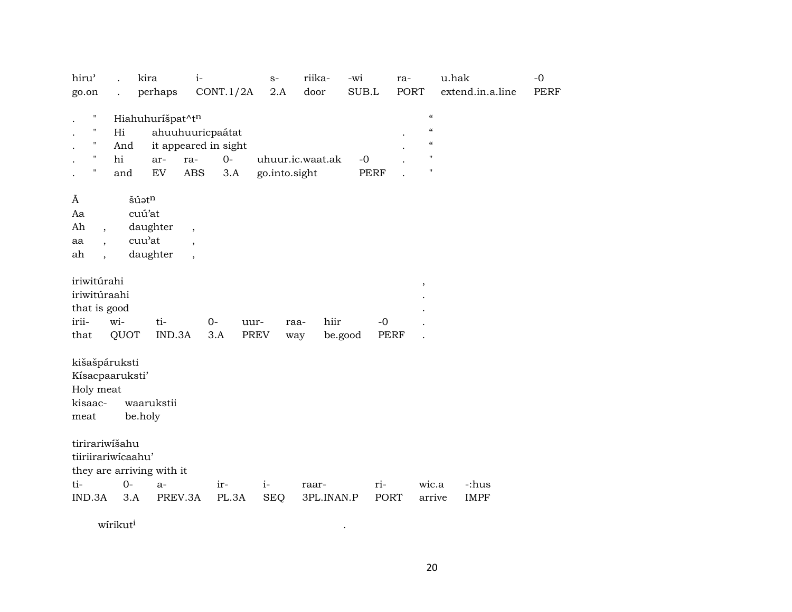| hiru'                                                            | kira                                                            | $i-$                                                                             | $S-$                              | riika-              | -wi                 | ra-                                                                                          | u.hak                | $-0$        |
|------------------------------------------------------------------|-----------------------------------------------------------------|----------------------------------------------------------------------------------|-----------------------------------|---------------------|---------------------|----------------------------------------------------------------------------------------------|----------------------|-------------|
| go.on                                                            | perhaps                                                         | CONT.1/2A                                                                        | 2.A                               | door                | SUB.L               | <b>PORT</b>                                                                                  | extend.in.a.line     | <b>PERF</b> |
| Н<br>$\mathbf{H}$<br>11<br>п                                     | Hiahuhuríšpat^tn<br>Hi<br>And<br>hi<br>ar-<br>${\rm EV}$<br>and | ahuuhuuricpaátat<br>it appeared in sight<br>$O -$<br>ra-<br><b>ABS</b><br>3.A    | uhuur.ic.waat.ak<br>go.into.sight |                     | $-0$<br><b>PERF</b> | $\epsilon\epsilon$<br>$\boldsymbol{\zeta}\boldsymbol{\zeta}$<br>$\epsilon\epsilon$<br>п<br>Ħ |                      |             |
| Ã<br>Aa<br>Ah<br>$\overline{\phantom{a}}$<br>aa<br>ah            | šúatn<br>cuú'at<br>daughter<br>cuu'at<br>daughter               | $\overline{\phantom{a}}$<br>$\overline{\phantom{a}}$<br>$\overline{\phantom{a}}$ |                                   |                     |                     |                                                                                              |                      |             |
| iriwitúrahi<br>iriwitúraahi<br>that is good<br>irii-<br>that     | wi-<br>ti-<br>IND.3A<br>QUOT                                    | $0-$<br>uur-<br><b>PREV</b><br>3.A                                               | raa-<br>way                       | hiir<br>be.good     | $-0$<br><b>PERF</b> | $\overline{\phantom{a}}$                                                                     |                      |             |
| kišašpáruksti<br>Kísacpaaruksti'<br>Holy meat<br>kisaac-<br>meat | waarukstii<br>be.holy                                           |                                                                                  |                                   |                     |                     |                                                                                              |                      |             |
| tirirariwišahu<br>tiiriirariwicaahu'<br>ti-<br>IND.3A            | they are arriving with it<br>$O -$<br>$a-$<br>3.A<br>PREV.3A    | ir-<br>PL.3A                                                                     | $i-$<br><b>SEQ</b>                | raar-<br>3PL.INAN.P | ri-<br>PORT         | wic.a<br>arrive                                                                              | -:hus<br><b>IMPF</b> |             |

 $\bullet$ 

 $\rm{wfrikut}^i$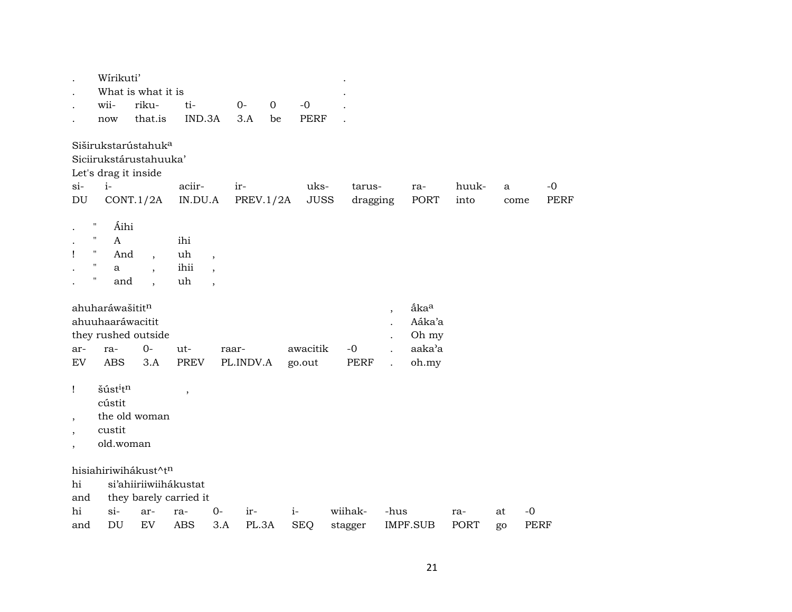|                                   | Wírikuti'                                                | What is what it is                                        |                    |                          |           |             |                    |         |              |                                                  |                                                        |       |      |             |             |
|-----------------------------------|----------------------------------------------------------|-----------------------------------------------------------|--------------------|--------------------------|-----------|-------------|--------------------|---------|--------------|--------------------------------------------------|--------------------------------------------------------|-------|------|-------------|-------------|
|                                   | wii-                                                     | riku-                                                     | ti-                |                          | $0-$      | $\mathbf 0$ | $-0$               |         |              |                                                  |                                                        |       |      |             |             |
|                                   | now                                                      | that.is                                                   | IND.3A             |                          | 3.A       | be          | <b>PERF</b>        |         |              |                                                  |                                                        |       |      |             |             |
|                                   | Let's drag it inside                                     | Siširukstarústahuk <sup>a</sup><br>Siciirukstárustahuuka' |                    |                          |           |             |                    |         |              |                                                  |                                                        |       |      |             |             |
| $si-$                             | $i-$                                                     |                                                           | aciir-             |                          | ir-       |             | uks-               |         | tarus-       |                                                  | ra-                                                    | huuk- | a    |             | $-0$        |
| DU                                |                                                          | CONT.1/2A                                                 | IN.DU.A            |                          | PREV.1/2A |             | <b>JUSS</b>        |         | dragging     |                                                  | <b>PORT</b>                                            | into  | come |             | <b>PERF</b> |
| $\bullet$                         | $\pmb{\mathsf{H}}$<br>Áihi<br>$\mathbf H$<br>A           |                                                           | ihi                |                          |           |             |                    |         |              |                                                  |                                                        |       |      |             |             |
| Ţ                                 | н.<br>And                                                | $\overline{\phantom{a}}$                                  | uh                 | $\overline{\phantom{a}}$ |           |             |                    |         |              |                                                  |                                                        |       |      |             |             |
|                                   | $\pmb{\mathsf{H}}$<br>a                                  | $\cdot$                                                   | ihii               | $\cdot$                  |           |             |                    |         |              |                                                  |                                                        |       |      |             |             |
|                                   | П<br>and                                                 | $\overline{\phantom{a}}$                                  | uh                 | $\overline{\phantom{a}}$ |           |             |                    |         |              |                                                  |                                                        |       |      |             |             |
| ar-<br>$\mathop{\rm EV}\nolimits$ | ahuharáwašititn<br>ahuuhaaráwacitit<br>ra-<br><b>ABS</b> | they rushed outside<br>$0-$<br>3.A                        | ut-<br><b>PREV</b> | raar-                    | PL.INDV.A |             | awacitik<br>go.out |         | $-0$<br>PERF | $\overline{\phantom{a}}$<br>$\ddot{\phantom{0}}$ | åka <sup>a</sup><br>Aáka'a<br>Oh my<br>aaka'a<br>oh.my |       |      |             |             |
| $\mathbf{I}$                      | šústitn<br>cústit                                        |                                                           | $\,$               |                          |           |             |                    |         |              |                                                  |                                                        |       |      |             |             |
| $\overline{\phantom{a}}$          |                                                          | the old woman                                             |                    |                          |           |             |                    |         |              |                                                  |                                                        |       |      |             |             |
| $\overline{\phantom{a}}$          | custit                                                   |                                                           |                    |                          |           |             |                    |         |              |                                                  |                                                        |       |      |             |             |
| $\overline{\phantom{a}}$          | old.woman                                                |                                                           |                    |                          |           |             |                    |         |              |                                                  |                                                        |       |      |             |             |
|                                   |                                                          | hisiahiriwihákust^tn                                      |                    |                          |           |             |                    |         |              |                                                  |                                                        |       |      |             |             |
| hi                                |                                                          | si'ahiiriiwiihákustat                                     |                    |                          |           |             |                    |         |              |                                                  |                                                        |       |      |             |             |
| and                               |                                                          | they barely carried it                                    |                    |                          |           |             |                    |         |              |                                                  |                                                        |       |      |             |             |
| hi                                | $\sin$                                                   | ar-                                                       | ra-                | $0-$                     | ir-       |             | $i-$               | wiihak- |              | -hus                                             |                                                        | ra-   | at   | $-0$        |             |
| and                               | $\mathop{\rm DU}\nolimits$                               | EV                                                        | <b>ABS</b>         | 3.A                      | PL.3A     |             | <b>SEQ</b>         | stagger |              |                                                  | IMPF.SUB                                               | PORT  | go   | <b>PERF</b> |             |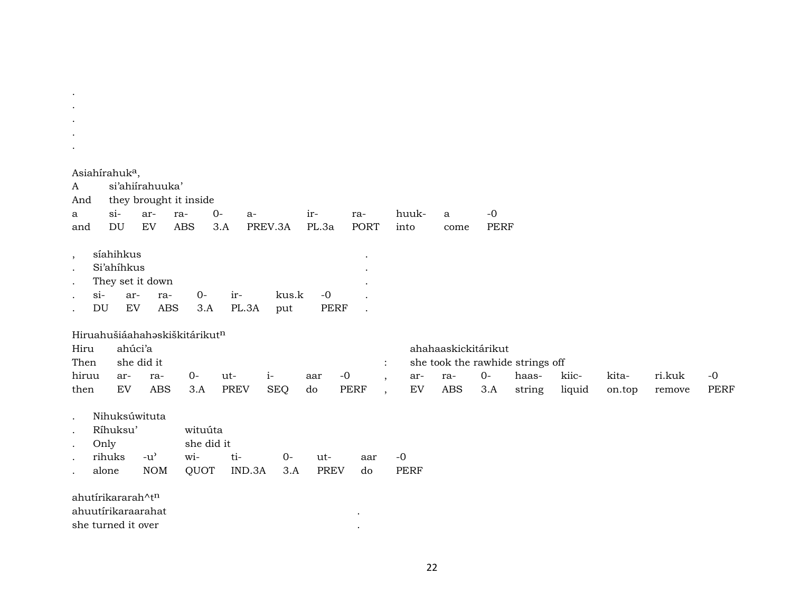|                                                   | Asiahírahuk <sup>a</sup> ,                  |                                       |                               |              |              |              |                                     |             |                     |       |                                  |        |        |        |             |
|---------------------------------------------------|---------------------------------------------|---------------------------------------|-------------------------------|--------------|--------------|--------------|-------------------------------------|-------------|---------------------|-------|----------------------------------|--------|--------|--------|-------------|
| A                                                 |                                             | si'ahiirahuuka'                       |                               |              |              |              |                                     |             |                     |       |                                  |        |        |        |             |
| And                                               |                                             |                                       | they brought it inside        |              |              |              |                                     |             |                     |       |                                  |        |        |        |             |
| a                                                 | $\sin$                                      | ar-                                   | ra-                           | $0-$<br>$a-$ |              | ir-          | ra-                                 | huuk-       | a                   | $-0$  |                                  |        |        |        |             |
| and                                               | DU                                          | ${\rm EV}$                            | <b>ABS</b>                    | $3.A$        | PREV.3A      | PL.3a        | <b>PORT</b>                         | into        | come                | PERF  |                                  |        |        |        |             |
| $\,$<br>$\cdot$<br>$\cdot$<br>$\sin$<br><b>DU</b> | síahihkus<br>Si'ahihkus<br>ar-<br>EV        | They set it down<br>ra-<br><b>ABS</b> | $0-$<br>3.A                   | ir-<br>PL.3A | kus.k<br>put | $-0$<br>PERF |                                     |             |                     |       |                                  |        |        |        |             |
| Hiru<br>Then                                      | ahúci'a                                     | she did it                            | Hiruahušiáahahaskiškitárikutn |              |              |              |                                     |             | ahahaaskickitárikut |       | she took the rawhide strings off |        |        |        |             |
| hiruu                                             | ar-                                         | ra-                                   | $0-$                          | ut-          | $i-$         | aar          | $-0$<br>$\cdot$                     | ar-         | ra-                 | $O -$ | haas-                            | kiic-  | kita-  | ri.kuk | $-0$        |
| then                                              | EV                                          | <b>ABS</b>                            | 3.A                           | <b>PREV</b>  | <b>SEQ</b>   | do           | <b>PERF</b><br>$\ddot{\phantom{0}}$ | ${\rm EV}$  | <b>ABS</b>          | 3.A   | string                           | liquid | on.top | remove | <b>PERF</b> |
| $\bullet$<br>$\cdot$<br>$\bullet$                 | Nihuksúwituta<br>Ríhuksu'<br>Only<br>rihuks | $-u^{\prime}$                         | wituúta<br>she did it<br>wi-  | ti-          | $O -$        | ut-          | aar                                 | $-0$        |                     |       |                                  |        |        |        |             |
|                                                   | alone                                       | <b>NOM</b>                            | QUOT                          | IND.3A       | 3.A          | <b>PREV</b>  | do                                  | <b>PERF</b> |                     |       |                                  |        |        |        |             |
|                                                   | ahutírikararah^tn<br>ahuutírikaraarahat     |                                       |                               |              |              |              |                                     |             |                     |       |                                  |        |        |        |             |

 $\mathcal{A}(\mathcal{A})$  and  $\mathcal{A}(\mathcal{A})$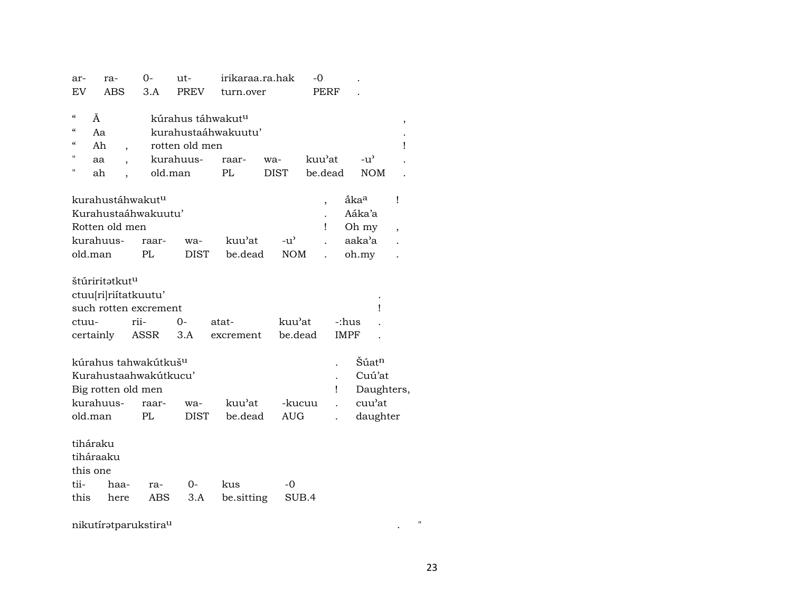| ar-        | ra-                            | 0-                               | ut-            | irikaraa.ra.hak               |               | -0                       |                                   |                          |
|------------|--------------------------------|----------------------------------|----------------|-------------------------------|---------------|--------------------------|-----------------------------------|--------------------------|
| EV         | <b>ABS</b>                     | 3.A                              | <b>PREV</b>    | turn.over                     |               | <b>PERF</b>              |                                   |                          |
|            |                                |                                  |                |                               |               |                          |                                   |                          |
| $\epsilon$ | Ã                              |                                  |                | kúrahus táhwakut <sup>u</sup> |               |                          |                                   | ,                        |
| $\epsilon$ | Aa                             |                                  |                | kurahustaáhwakuutu'           |               |                          |                                   |                          |
| $\epsilon$ | Ah<br>$\overline{\phantom{a}}$ |                                  | rotten old men |                               |               |                          |                                   | Ţ                        |
| п          | aa                             |                                  | kurahuus-      | raar-                         | wa-           | kuu'at                   | $-u$ <sup><math>\sim</math></sup> |                          |
| Н          | ah                             |                                  | old.man        | PL                            | <b>DIST</b>   | be.dead                  | <b>NOM</b>                        |                          |
|            |                                |                                  |                |                               |               |                          |                                   |                          |
|            |                                | kurahustáhwakut <sup>u</sup>     |                |                               |               | $\overline{\phantom{a}}$ | åka <sup>a</sup>                  | Ţ                        |
|            |                                | Kurahustaáhwakuutu'              |                |                               |               |                          | Aáka'a                            |                          |
|            | Rotten old men                 |                                  |                |                               |               | ı                        | Oh my                             | $\overline{\phantom{a}}$ |
|            | kurahuus-                      | raar-                            | wa-            | kuu'at                        | $-u^{\prime}$ |                          | aaka'a                            |                          |
| old.man    |                                | PL                               | <b>DIST</b>    | be.dead                       | <b>NOM</b>    |                          | oh.my                             |                          |
|            |                                |                                  |                |                               |               |                          |                                   |                          |
|            | štúriritatkut <sup>u</sup>     |                                  |                |                               |               |                          |                                   |                          |
|            |                                | ctuu[ri]riítatkuutu'             |                |                               |               |                          |                                   |                          |
|            |                                | such rotten excrement            |                |                               |               |                          | ı                                 |                          |
| ctuu-      |                                | rii-                             | $0-$           | atat-                         | kuu'at        | -:hus                    |                                   |                          |
|            | certainly                      | ASSR                             | 3.A            | excrement                     | be.dead       | <b>IMPF</b>              |                                   |                          |
|            |                                |                                  |                |                               |               |                          |                                   |                          |
|            |                                | kúrahus tahwakútkuš <sup>u</sup> |                |                               |               |                          | Šúat <sup>n</sup>                 |                          |
|            |                                | Kurahustaahwakútkucu'            |                |                               |               |                          | Cuú'at                            |                          |
|            |                                | Big rotten old men               |                |                               |               | Ţ                        | Daughters,                        |                          |
|            | kurahuus-                      | raar-                            | wa-            | kuu'at                        | -kucuu        |                          | cuu'at                            |                          |
| old.man    |                                | PL                               | <b>DIST</b>    | be.dead                       | <b>AUG</b>    |                          | daughter                          |                          |
|            |                                |                                  |                |                               |               |                          |                                   |                          |
| tiháraku   |                                |                                  |                |                               |               |                          |                                   |                          |
|            | tiháraaku                      |                                  |                |                               |               |                          |                                   |                          |
| this one   |                                |                                  |                |                               |               |                          |                                   |                          |
| tii-       | haa-                           | ra-                              | 0-             | kus                           | -0            |                          |                                   |                          |
| this       | here                           | ABS                              | 3.A            | be.sitting                    | SUB.4         |                          |                                   |                          |
|            |                                |                                  |                |                               |               |                          |                                   |                          |
|            |                                | nikutíratparukstirau             |                |                               |               |                          |                                   | Ħ                        |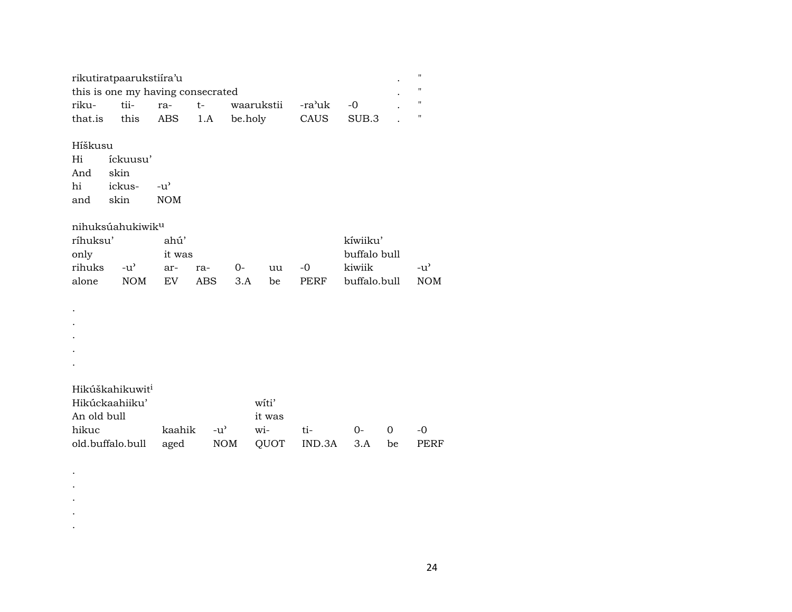| rikutiratpaarukstiira'u           |  |                                        |            |  |  |
|-----------------------------------|--|----------------------------------------|------------|--|--|
| this is one my having consecrated |  |                                        |            |  |  |
|                                   |  | riku- tii- ra- t- waarukstii -ra'uk -0 |            |  |  |
| that.is this ABS 1.A              |  | be.holv                                | CAUS SUB.3 |  |  |

## Híškusu

 $\rm{Hi}$ íckuusu' And skin  $hi$ ickus- $-u^{\prime}$ and skin  $\rm{NOM}$ 

## $\texttt{nihuks}$ úahukiwik $\texttt{u}$

| ríhuksu'  |             | ahú'    |          |       | kíwiiku'                        |                  |
|-----------|-------------|---------|----------|-------|---------------------------------|------------------|
| only      |             | it was  |          |       | buffalo bull                    |                  |
| rihuks    | $\sim -u^2$ | ar- ra- | $\Omega$ | uu -0 | kiwiik                          | $-11'$           |
| alone NOM |             |         |          |       | EV ABS 3.A be PERF buffalo.bull | NOM <sup>.</sup> |

 $\bullet$ 

- $\bullet$
- $\mathcal{L}^{\pm}$
- $\mathcal{L}^{\pm}$
- $\sim$

 $\langle \cdot \rangle$  $\langle \cdot \rangle$  $\sim$  $\sim$  $\bullet$ 

## Hikúškahikuwit<sup>i</sup>

| Hikúckaahiiku'                               |  | witi'              |      |               |
|----------------------------------------------|--|--------------------|------|---------------|
| An old bull                                  |  | it was             |      |               |
| hikuc                                        |  | kaahik -u' wi- ti- | റ- റ | $\sim$ $\sim$ |
| old.buffalo.bull aged NOM QUOT IND.3A 3.A be |  |                    |      | PERF          |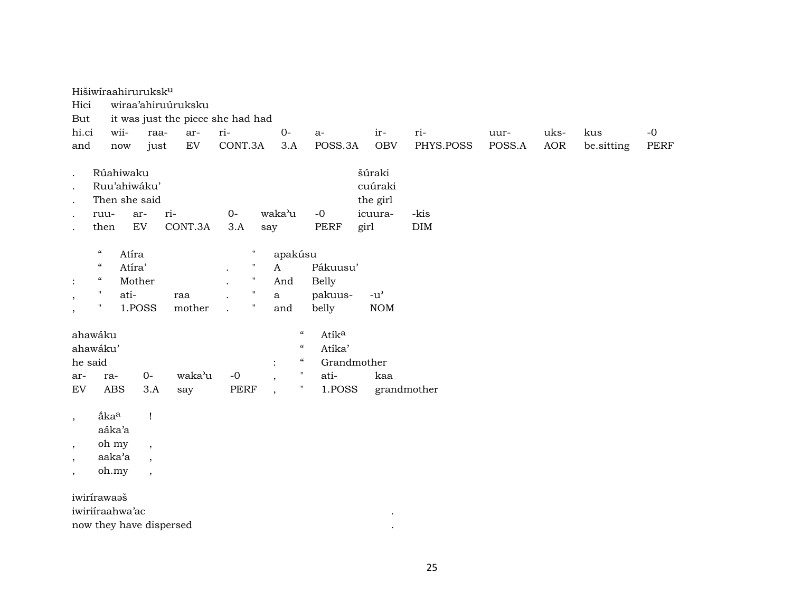| Hici<br>But                                               |                                                                                                      | Hišiwiraahiruruksk <sup>u</sup>            |                                                                                        | wiraa'ahiruúruksku<br>it was just the piece she had had |                                        |                                                                                                              |                                            |                                                                       |                                              |                                                   |                    |        |            |            |      |
|-----------------------------------------------------------|------------------------------------------------------------------------------------------------------|--------------------------------------------|----------------------------------------------------------------------------------------|---------------------------------------------------------|----------------------------------------|--------------------------------------------------------------------------------------------------------------|--------------------------------------------|-----------------------------------------------------------------------|----------------------------------------------|---------------------------------------------------|--------------------|--------|------------|------------|------|
| hi.ci                                                     |                                                                                                      | wii-                                       | raa-                                                                                   | ar-                                                     | ri-                                    |                                                                                                              | $O -$                                      |                                                                       | $a-$                                         | ir-                                               | ri-                | uur-   | uks-       | kus        | $-0$ |
| and                                                       |                                                                                                      | now                                        | just                                                                                   | EV                                                      | CONT.3A                                |                                                                                                              | 3.A                                        |                                                                       | POSS.3A                                      | <b>OBV</b>                                        | PHYS.POSS          | POSS.A | <b>AOR</b> | be.sitting | PERF |
| $\bullet$<br>$\cdot$<br>$\bullet$                         | ruu-<br>then                                                                                         | Rúahiwaku<br>Ruu'ahiwáku'<br>Then she said | ar-<br>${\rm EV}$                                                                      | ri-<br>CONT.3A                                          | $O -$<br>3.A                           |                                                                                                              | waka'u<br>say                              |                                                                       | $-0$<br><b>PERF</b>                          | šúraki<br>cuúraki<br>the girl<br>icuura-<br>girl  | -kis<br><b>DIM</b> |        |            |            |      |
| $\ddot{\cdot}$<br>$\,$<br>$^\mathrm{,}$                   | $\boldsymbol{\mathcal{C}}$<br>$\boldsymbol{\zeta}\boldsymbol{\zeta}$<br>$\epsilon\epsilon$<br>"<br>" | Atíra<br>Atíra'<br>Mother<br>ati-          | 1.POSS                                                                                 | raa<br>mother                                           | $\ddot{\phantom{0}}$<br>$\overline{a}$ | $\pmb{\mathsf{H}}$<br>$\pmb{\mathsf{H}}$<br>$\pmb{\cdot}$<br>$\pmb{\mathsf{H}}$<br>$\boldsymbol{\mathsf{H}}$ | apakúsu<br>$\mathbf{A}$<br>And<br>a<br>and |                                                                       | Pákuusu'<br><b>Belly</b><br>pakuus-<br>belly | $-u$ <sup><math>\prime</math></sup><br>$\rm{NOM}$ |                    |        |            |            |      |
| ahawáku<br>ahawáku'<br>he said                            |                                                                                                      |                                            |                                                                                        |                                                         |                                        |                                                                                                              | $\ddot{\cdot}$                             | $\mathcal{C}$<br>$\mathcal{C}\mathcal{C}$<br>$\mathcal{C}\mathcal{C}$ | Atíka<br>Atíka'                              | Grandmother                                       |                    |        |            |            |      |
| ar-                                                       |                                                                                                      | ra-                                        | $0-$                                                                                   | waka'u                                                  | $-{\bf 0}$                             |                                                                                                              | $\overline{\phantom{a}}$                   | $\pmb{\mathsf{H}}$                                                    | ati-                                         | kaa                                               |                    |        |            |            |      |
| ${\rm EV}$                                                |                                                                                                      | <b>ABS</b>                                 | 3.A                                                                                    | say                                                     | <b>PERF</b>                            |                                                                                                              | $\overline{\phantom{a}}$                   | $\pmb{\pi}$                                                           | 1.POSS                                       |                                                   | grandmother        |        |            |            |      |
| $\cdot$<br>$\overline{\phantom{a}}$<br>$\cdot$<br>$\cdot$ | åka <sup>a</sup>                                                                                     | aáka'a<br>oh my<br>aaka'a<br>oh.my         | $\mathbf{I}$<br>$\overline{\phantom{a}}$<br>$\overline{ }$<br>$\overline{\phantom{a}}$ |                                                         |                                        |                                                                                                              |                                            |                                                                       |                                              |                                                   |                    |        |            |            |      |
| iwirírawaaš                                               |                                                                                                      | iwiriiraahwa'ac                            |                                                                                        | now they have dispersed                                 |                                        |                                                                                                              |                                            |                                                                       |                                              |                                                   |                    |        |            |            |      |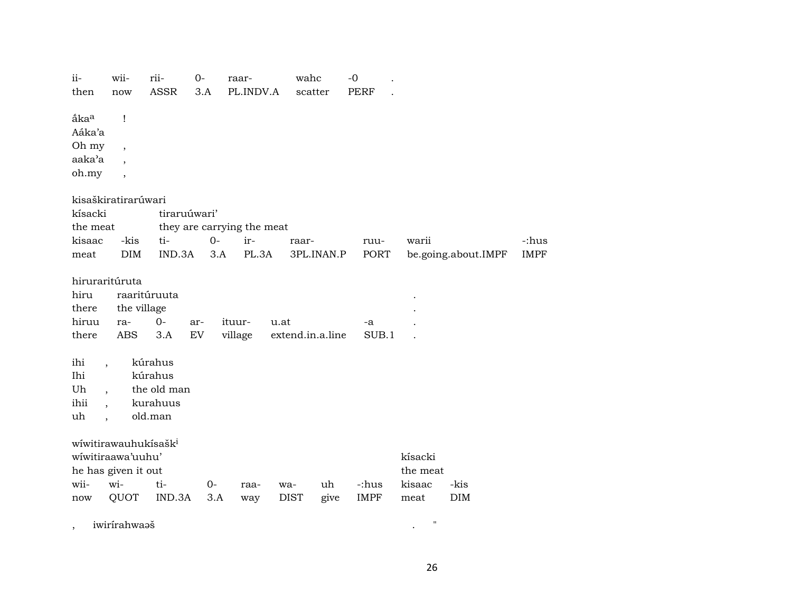| $ii -$<br>then                      | wii-<br>now                                                                  | rii-<br><b>ASSR</b>                                      | $0-$<br>3.A | raar-<br>PL.INDV.A         | wahc             | scatter    | $-0$<br><b>PERF</b> |                     |                     |             |
|-------------------------------------|------------------------------------------------------------------------------|----------------------------------------------------------|-------------|----------------------------|------------------|------------|---------------------|---------------------|---------------------|-------------|
| ãka <sup>a</sup><br>Aáka'a<br>Oh my | 1                                                                            |                                                          |             |                            |                  |            |                     |                     |                     |             |
| aaka'a                              | $\overline{\phantom{a}}$<br>$\overline{\phantom{a}}$                         |                                                          |             |                            |                  |            |                     |                     |                     |             |
| oh.my                               | $\overline{\phantom{a}}$                                                     |                                                          |             |                            |                  |            |                     |                     |                     |             |
|                                     | kisaškiratirarúwari                                                          |                                                          |             |                            |                  |            |                     |                     |                     |             |
| kísacki                             |                                                                              | tiraruúwari'                                             |             |                            |                  |            |                     |                     |                     |             |
| the meat                            |                                                                              |                                                          |             | they are carrying the meat |                  |            |                     |                     |                     |             |
| kisaac                              | -kis                                                                         | ti-                                                      | $0-$        | ir-                        | raar-            |            | ruu-                | warii               |                     | -:hus       |
| meat                                | DIM                                                                          | IND.3A                                                   | 3.A         | PL.3A                      |                  | 3PL.INAN.P | PORT                |                     | be.going.about.IMPF | <b>IMPF</b> |
| hiru<br>there                       | hiruraritúruta<br>the village                                                | raaritúruuta                                             |             |                            |                  |            |                     |                     |                     |             |
| hiruu                               | ra-                                                                          | $O -$                                                    | ar-         | ituur-                     | u.at             |            | -a                  |                     |                     |             |
| there                               | <b>ABS</b>                                                                   | 3.A                                                      | EV          | village                    | extend.in.a.line |            | SUB.1               |                     |                     |             |
| ihi<br>Ihi<br>Uh<br>ihii<br>uh      | $\ddot{\phantom{0}}$<br>$\overline{\phantom{a}}$                             | kúrahus<br>kúrahus<br>the old man<br>kurahuus<br>old.man |             |                            |                  |            |                     |                     |                     |             |
|                                     | wíwitirawauhukísašk <sup>i</sup><br>wiwitiraawa'uuhu'<br>he has given it out |                                                          |             |                            |                  |            |                     | kísacki<br>the meat |                     |             |
| wii-                                | wi-                                                                          | ti-                                                      | $0-$        | raa-                       | wa-              | uh         | -:hus               | kisaac              | -kis                |             |
| now                                 | QUOT                                                                         | IND.3A                                                   | 3.A         | way                        | <b>DIST</b>      | give       | <b>IMPF</b>         | meat                | DIM                 |             |
| $\overline{ }$                      | iwirírahwaaš                                                                 |                                                          |             |                            |                  |            |                     | $\pmb{\mathsf{H}}$  |                     |             |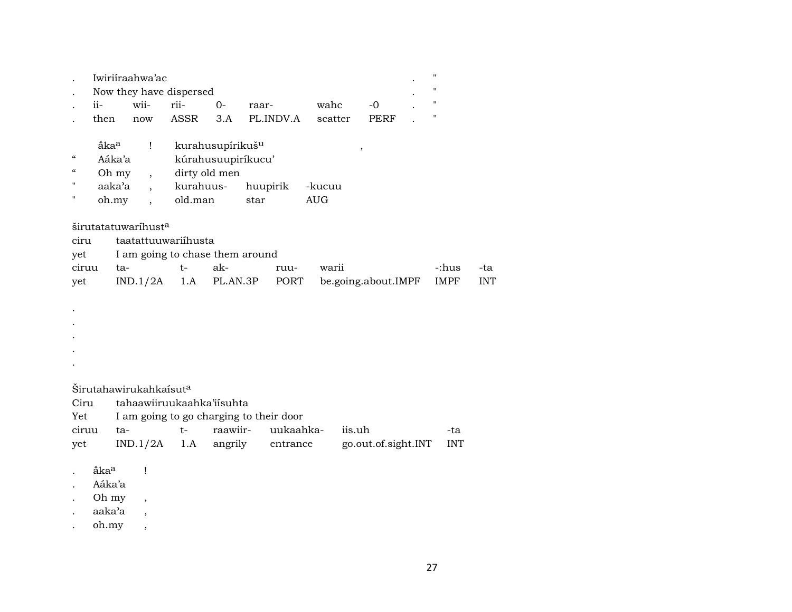|                                                                  |                                                        | Iwiriiraahwa'ac                                              | Now they have dispersed                                |                                               |                                         |                      |                     | $\pmb{\mathsf{H}}$<br>" |            |
|------------------------------------------------------------------|--------------------------------------------------------|--------------------------------------------------------------|--------------------------------------------------------|-----------------------------------------------|-----------------------------------------|----------------------|---------------------|-------------------------|------------|
|                                                                  | $i$ <sup><math>i</math></sup>                          | wii-                                                         | rii-                                                   | $O-$                                          | raar-                                   | wahc                 | $-0$                | "                       |            |
|                                                                  | then                                                   | now                                                          | ASSR                                                   | 3.A                                           | PL.INDV.A                               | scatter              | PERF                | $\pmb{\mathsf{H}}$      |            |
| $\mathcal{C}\mathcal{C}$<br>$\boldsymbol{\mathcal{C}}$<br>"<br>п | åka <sup>a</sup><br>Aáka'a<br>Oh my<br>aaka'a<br>oh.my | $\mathbf{I}$<br>$\ddot{\phantom{0}}$<br>$\ddot{\phantom{0}}$ | kurahuus-<br>old.man                                   | kurahusupírikuš <sup>u</sup><br>dirty old men | kúrahusuupiríkucu'<br>huupirik<br>star  | -kucuu<br><b>AUG</b> | $^\mathrm{,}$       |                         |            |
| ciru<br>yet                                                      |                                                        | širutatatuwaríhust <sup>a</sup>                              | taatattuuwariihusta<br>I am going to chase them around |                                               |                                         |                      |                     |                         |            |
| ciruu                                                            | ta-                                                    |                                                              | $t-$                                                   | ak-                                           | ruu-                                    | warii                |                     | -:hus                   | -ta        |
| yet                                                              |                                                        | IND.1/2A                                                     | 1.A                                                    | PL.AN.3P                                      | PORT                                    |                      | be.going.about.IMPF | <b>IMPF</b>             | <b>INT</b> |
|                                                                  |                                                        |                                                              |                                                        |                                               |                                         |                      |                     |                         |            |
|                                                                  |                                                        |                                                              |                                                        |                                               |                                         |                      |                     |                         |            |
|                                                                  |                                                        |                                                              |                                                        |                                               |                                         |                      |                     |                         |            |
|                                                                  |                                                        |                                                              |                                                        |                                               |                                         |                      |                     |                         |            |
|                                                                  |                                                        |                                                              |                                                        |                                               |                                         |                      |                     |                         |            |
|                                                                  |                                                        | Širutahawirukahkaísut <sup>a</sup>                           |                                                        |                                               |                                         |                      |                     |                         |            |
| Ciru                                                             |                                                        |                                                              | tahaawiiruukaahka'iisuhta                              |                                               |                                         |                      |                     |                         |            |
| Yet                                                              |                                                        |                                                              |                                                        |                                               | I am going to go charging to their door |                      |                     |                         |            |
| ciruu                                                            | ta-                                                    |                                                              | $t-$                                                   | raawiir-                                      | uukaahka-                               | iis.uh               |                     | -ta                     |            |
| yet                                                              |                                                        | IND.1/2A                                                     | 1.A                                                    | angrily                                       | entrance                                |                      | go.out.of.sight.INT | <b>INT</b>              |            |

- . åka<sup>a</sup> !
- . Aáka'a
- . Oh my  $\quad$  ,
- . aaka'a ,
- . oh.my ,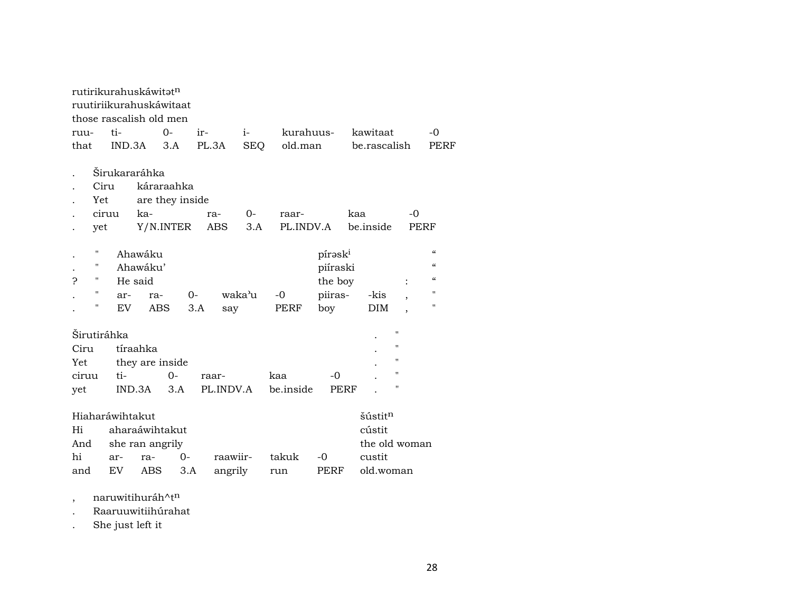|       |                    | rutirikurahuskáwitat <sup>n</sup> |                 |                         |       |           |            |           |                     |              |                     |                          |                          |
|-------|--------------------|-----------------------------------|-----------------|-------------------------|-------|-----------|------------|-----------|---------------------|--------------|---------------------|--------------------------|--------------------------|
|       |                    |                                   |                 | ruutiriikurahuskáwitaat |       |           |            |           |                     |              |                     |                          |                          |
|       |                    |                                   |                 | those rascalish old men |       |           |            |           |                     |              |                     |                          |                          |
| ruu-  |                    | ti-                               |                 | $0 -$                   | ir-   |           | $i-$       | kurahuus- |                     | kawitaat     |                     |                          | $-0$                     |
| that  |                    | IND.3A                            |                 | 3.A                     | PL.3A |           | <b>SEQ</b> | old.man   |                     | be.rascalish |                     |                          | PERF                     |
|       |                    |                                   |                 |                         |       |           |            |           |                     |              |                     |                          |                          |
|       |                    | Širukararáhka                     |                 |                         |       |           |            |           |                     |              |                     |                          |                          |
|       | Ciru               |                                   |                 | káraraahka              |       |           |            |           |                     |              |                     |                          |                          |
|       | Yet                |                                   |                 | are they inside         |       |           |            |           |                     |              |                     |                          |                          |
|       | ciruu              |                                   | ka-             |                         |       | ra-       | 0-         | raar-     |                     | kaa          |                     | -0                       |                          |
|       | yet                |                                   |                 | Y/N.INTER               |       | ABS       | 3.A        | PL.INDV.A |                     | be inside    |                     |                          | PERF                     |
|       |                    |                                   |                 |                         |       |           |            |           |                     |              |                     |                          |                          |
|       | П                  |                                   | Ahawáku         |                         |       |           |            |           | pírask <sup>i</sup> |              |                     |                          | $\mathcal{C}$            |
|       | $\pmb{\mathsf{H}}$ |                                   | Ahawáku'        |                         |       |           |            |           | piíraski            |              |                     |                          | $\mathcal{C}\mathcal{C}$ |
| P     | н                  |                                   | He said         |                         |       |           |            |           | the boy             |              |                     |                          | $\mathcal{C}\mathcal{C}$ |
|       | $\pmb{\mathsf{H}}$ | ar-                               | ra-             |                         | $0-$  |           | waka'u     | $-0$      | piiras-             |              | -kis                | $\overline{\phantom{a}}$ | $\blacksquare$           |
|       | $\pmb{\mathsf{H}}$ | EV.                               | ABS             |                         | 3.A   | say       |            | PERF      | boy                 |              | DIM                 | $\overline{\phantom{a}}$ | $\pmb{\mathsf{H}}$       |
|       |                    |                                   |                 |                         |       |           |            |           |                     |              |                     |                          |                          |
|       |                    | Širutiráhka                       |                 |                         |       |           |            |           |                     |              |                     | 11                       |                          |
| Ciru  |                    |                                   | tíraahka        |                         |       |           |            |           |                     |              |                     | 11                       |                          |
| Yet   |                    |                                   |                 | they are inside         |       |           |            |           |                     |              |                     | 11                       |                          |
| ciruu |                    | ti-                               |                 | $O -$                   |       | raar-     |            | kaa       | $-0$                |              |                     | 11                       |                          |
| yet   |                    |                                   | IND.3A          | 3.A                     |       | PL.INDV.A |            | be.inside | PERF                |              |                     | 11                       |                          |
|       |                    |                                   |                 |                         |       |           |            |           |                     |              |                     |                          |                          |
|       |                    | Hiaharáwihtakut                   |                 |                         |       |           |            |           |                     |              | šústit <sup>n</sup> |                          |                          |
| Hi    |                    |                                   |                 | aharaáwihtakut          |       |           |            |           |                     |              | cústit              |                          |                          |
| And   |                    |                                   | she ran angrily |                         |       |           |            |           |                     |              |                     | the old woman            |                          |
| hi    |                    | ar-                               | ra-             | $0-$                    |       | raawiir-  |            | takuk     | $-0$                |              | custit              |                          |                          |
| and   |                    | EV                                | <b>ABS</b>      |                         | 3.A   | angrily   |            | run       | PERF                |              | old.woman           |                          |                          |
|       |                    |                                   |                 |                         |       |           |            |           |                     |              |                     |                          |                          |

, naruwitihuráh $\wedge$ t $^n$ 

. Raaruuwitiihúrahat

. She just left it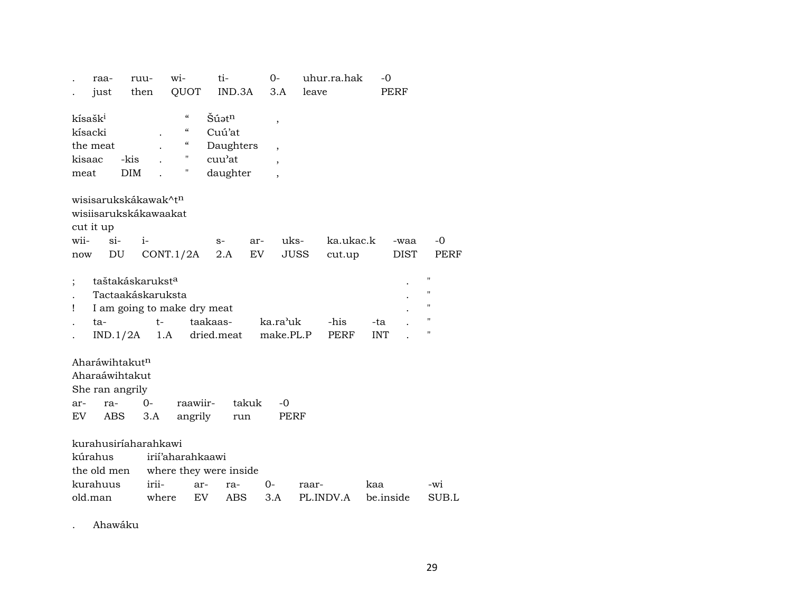| raa-                                                                  |                                                               | ruu-           | wi-                                                                                        | ti-                                                                                |              | 0-                                                                               |       | uhur.ra.hak         | $-0$              |             |                                                                                            |
|-----------------------------------------------------------------------|---------------------------------------------------------------|----------------|--------------------------------------------------------------------------------------------|------------------------------------------------------------------------------------|--------------|----------------------------------------------------------------------------------|-------|---------------------|-------------------|-------------|--------------------------------------------------------------------------------------------|
| just                                                                  |                                                               | then           | QUOT                                                                                       |                                                                                    | IND.3A       | 3.A                                                                              | leave |                     |                   | PERF        |                                                                                            |
| kísašk <sup>i</sup><br>kísacki<br>the meat<br>kisaac<br>meat          | -kis<br><b>DIM</b>                                            |                | $\pmb{\zeta}\pmb{\zeta}$<br>$\epsilon$<br>$\boldsymbol{\zeta}\boldsymbol{\zeta}$<br>"<br>Π | $\mathrm{\check{S}}$ úət $\mathrm{n}$<br>Cuú'at<br>Daughters<br>cuu'at<br>daughter |              | $\overline{\phantom{a}}$<br>$\overline{\phantom{a}}$<br>$\overline{\phantom{a}}$ |       |                     |                   |             |                                                                                            |
| wisisarukskákawak^t <sup>n</sup>                                      |                                                               |                |                                                                                            |                                                                                    |              |                                                                                  |       |                     |                   |             |                                                                                            |
| wisiisarukskákawaakat                                                 |                                                               |                |                                                                                            |                                                                                    |              |                                                                                  |       |                     |                   |             |                                                                                            |
| cut it up                                                             |                                                               |                |                                                                                            |                                                                                    |              |                                                                                  |       |                     |                   |             |                                                                                            |
| wii-                                                                  | $\sin$                                                        | $i-$           |                                                                                            | $S-$                                                                               | ar-          | uks-                                                                             |       | ka.ukac.k           |                   | -waa        | -0                                                                                         |
| now                                                                   | DU                                                            |                | CONT.1/2A                                                                                  | 2.A                                                                                | EV.          | JUSS                                                                             |       | cut.up              |                   | <b>DIST</b> | PERF                                                                                       |
| Ţ<br>ta-                                                              | taštakáskarukst <sup>a</sup><br>Tactaakáskaruksta<br>IND.1/2A | $t-$<br>1.A    | I am going to make dry meat                                                                | taakaas-<br>dried.meat                                                             |              | ka.ra'uk<br>make.PL.P                                                            |       | -his<br><b>PERF</b> | -ta<br><b>INT</b> |             | $\pmb{\mathsf{H}}$<br>$\pmb{\mathsf{H}}$<br>$\pmb{\mathsf{H}}$<br>$\pmb{\mathsf{H}}$<br>11 |
| Aharáwihtakut <sup>n</sup><br>Aharaáwihtakut<br>She ran angrily       |                                                               |                |                                                                                            |                                                                                    |              |                                                                                  |       |                     |                   |             |                                                                                            |
| ar-<br>EV.                                                            | ra-<br>ABS                                                    | $0 -$<br>3.A   | raawiir-<br>angrily                                                                        |                                                                                    | takuk<br>run | $-0$<br>PERF                                                                     |       |                     |                   |             |                                                                                            |
| kurahusiríaharahkawi<br>kúrahus<br>the old men<br>kurahuus<br>old.man |                                                               | irii-<br>where | irii'aharahkaawi                                                                           | where they were inside<br>ra-<br>ar-<br>EV.                                        | ABS          | 0-<br>3.A                                                                        | raar- | PL.INDV.A           | kaa<br>be.inside  |             | -wi<br>SUB.L                                                                               |
|                                                                       |                                                               |                |                                                                                            |                                                                                    |              |                                                                                  |       |                     |                   |             |                                                                                            |

. Ahawáku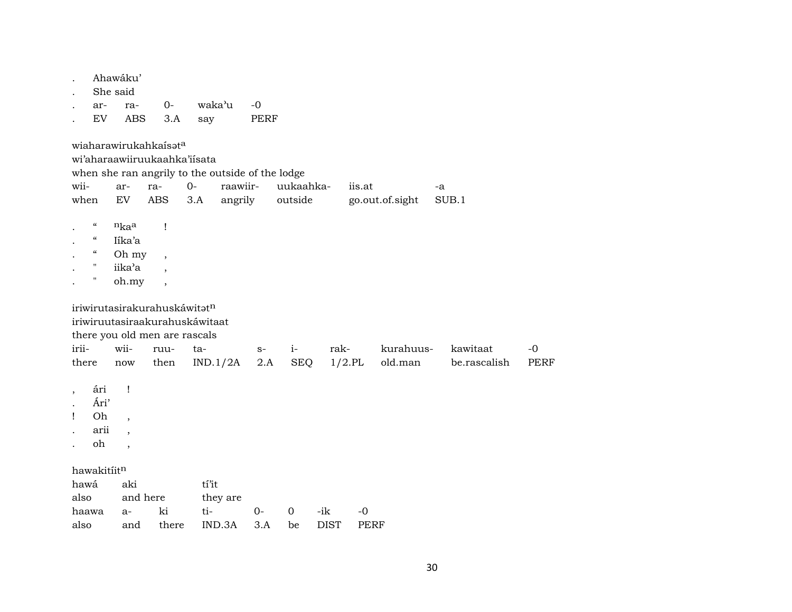|                                        | Ahawáku'<br>She said     |                               |                                                  |      |             |           |        |                 |              |             |
|----------------------------------------|--------------------------|-------------------------------|--------------------------------------------------|------|-------------|-----------|--------|-----------------|--------------|-------------|
|                                        |                          | $0-$                          | waka'u                                           | $-0$ |             |           |        |                 |              |             |
| ar-<br>${\rm EV}$                      | ra-<br>ABS               | 3.A                           | say                                              | PERF |             |           |        |                 |              |             |
|                                        |                          | wiaharawirukahkaísata         |                                                  |      |             |           |        |                 |              |             |
|                                        |                          | wi'aharaawiiruukaahka'iisata  |                                                  |      |             |           |        |                 |              |             |
|                                        |                          |                               | when she ran angrily to the outside of the lodge |      |             |           |        |                 |              |             |
| wii-                                   | ar-                      | ra-                           | raawiir-<br>$O-$                                 |      | uukaahka-   |           | iis.at |                 | -a           |             |
| when                                   | EV                       | <b>ABS</b>                    | angrily<br>3.A                                   |      | outside     |           |        | go.out.of.sight | SUB.1        |             |
|                                        |                          |                               |                                                  |      |             |           |        |                 |              |             |
| $\boldsymbol{\zeta}\boldsymbol{\zeta}$ | nkaa                     | Ţ                             |                                                  |      |             |           |        |                 |              |             |
| $\mathcal{C}\mathcal{C}$               | Iíka'a                   |                               |                                                  |      |             |           |        |                 |              |             |
| $\mathcal{C}\mathcal{C}$               | Oh my                    | $\overline{\phantom{a}}$      |                                                  |      |             |           |        |                 |              |             |
| $\pmb{\mathsf{H}}$                     | iika'a                   | $\overline{\phantom{a}}$      |                                                  |      |             |           |        |                 |              |             |
| Ħ                                      | oh.my                    | $\overline{\phantom{a}}$      |                                                  |      |             |           |        |                 |              |             |
|                                        |                          |                               |                                                  |      |             |           |        |                 |              |             |
|                                        |                          | iriwirutasirakurahuskáwitatn  |                                                  |      |             |           |        |                 |              |             |
|                                        |                          |                               | iriwiruutasiraakurahuskáwitaat                   |      |             |           |        |                 |              |             |
|                                        |                          | there you old men are rascals |                                                  |      |             |           |        |                 |              |             |
| irii-                                  | wii-                     | ruu-                          | ta-                                              | $S-$ | $i-$        | rak-      |        | kurahuus-       | kawitaat     | $-0$        |
| there                                  | now                      | then                          | IND.1/2A                                         | 2.A  | <b>SEQ</b>  | $1/2$ .PL |        | old.man         | be.rascalish | <b>PERF</b> |
|                                        |                          |                               |                                                  |      |             |           |        |                 |              |             |
| ári<br>$\overline{\phantom{a}}$        | $\mathbf{I}$             |                               |                                                  |      |             |           |        |                 |              |             |
| Ári'                                   |                          |                               |                                                  |      |             |           |        |                 |              |             |
| Oh<br>Ţ                                | $\overline{ }$           |                               |                                                  |      |             |           |        |                 |              |             |
| arii                                   | $\overline{\phantom{a}}$ |                               |                                                  |      |             |           |        |                 |              |             |
| oh                                     | $\ddot{\phantom{0}}$     |                               |                                                  |      |             |           |        |                 |              |             |
|                                        |                          |                               |                                                  |      |             |           |        |                 |              |             |
| hawakitiitn                            |                          |                               |                                                  |      |             |           |        |                 |              |             |
| hawá                                   | aki                      |                               | tí'it                                            |      |             |           |        |                 |              |             |
| also                                   |                          | and here                      | they are                                         |      |             |           |        |                 |              |             |
|                                        |                          |                               |                                                  |      |             |           |        |                 |              |             |
| haawa                                  | $a-$                     | ki                            | ti-                                              | $0-$ | $\mathbf 0$ | -ik       | $-0$   |                 |              |             |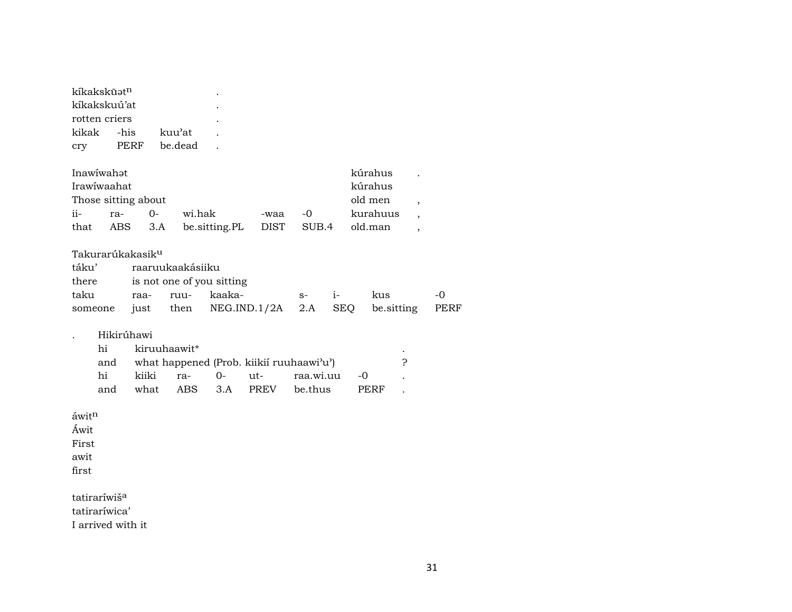| kíkakskūət <sup>n</sup><br>kíkakskuú'at<br>rotten criers<br>kikak<br>-his<br>kuu'at<br>PERF<br>be.dead<br>cry                                                                                                                                                                                                       |             |
|---------------------------------------------------------------------------------------------------------------------------------------------------------------------------------------------------------------------------------------------------------------------------------------------------------------------|-------------|
| Inawiwahat<br>kúrahus<br>Irawiwaahat<br>kúrahus<br>old men<br>Those sitting about<br>$\overline{\phantom{a}}$<br>wi.hak<br>kurahuus<br>ii-<br>$O -$<br>$-0$<br>ra-<br>-waa<br>$\overline{\phantom{a}}$<br>be.sitting.PL<br>that<br><b>ABS</b><br><b>DIST</b><br>SUB.4<br>old.man<br>3.A<br>$\overline{\phantom{a}}$ |             |
| Takurarúkakasik <sup>u</sup><br>táku'<br>raaruukaakásiiku<br>is not one of you sitting<br>there<br>kaaka-<br>taku<br>ruu-<br>$i-$<br>kus<br>-0<br>raa-<br>$S-$<br>NEG.IND.1/2A<br>2.A<br><b>SEQ</b><br>be.sitting<br>then<br>just<br>someone                                                                        | <b>PERF</b> |
| Hikirúhawi<br>hi<br>kiruuhaawit*<br>P<br>what happened (Prob. kiikií ruuhaawi'u')<br>and<br>hi<br>kiiki<br>$0 -$<br>ut-<br>raa.wi.uu<br>$-0$<br>ra-<br>ABS<br>PREV<br>and<br>what<br>3.A<br>be.thus<br>PERF                                                                                                         |             |
| áwitn<br>Áwit<br>First<br>awit<br>first                                                                                                                                                                                                                                                                             |             |
| tatiraríwiš <sup>a</sup><br>tatiraríwica'<br>I arrived with it                                                                                                                                                                                                                                                      |             |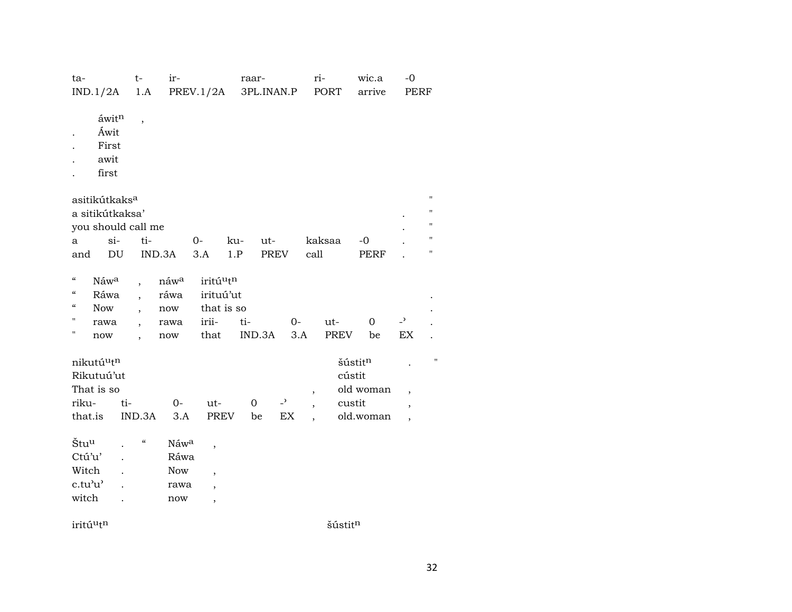| ta-<br>IND.1/2A                                                                                               |                                                                  |                                     | $t-$<br>1.A                | ir-                                                 | PREV.1/2A                                                                                                    |            | raar-<br>3PL.INAN.P |                                              |                                                      | ri-<br>PORT        |                             | wic.a<br>arrive        | $-0$<br>PERF                                                                     |                                                                          |
|---------------------------------------------------------------------------------------------------------------|------------------------------------------------------------------|-------------------------------------|----------------------------|-----------------------------------------------------|--------------------------------------------------------------------------------------------------------------|------------|---------------------|----------------------------------------------|------------------------------------------------------|--------------------|-----------------------------|------------------------|----------------------------------------------------------------------------------|--------------------------------------------------------------------------|
| $\overline{a}$                                                                                                | $\acute{\rm a}$ wit $^{\rm n}$<br>Áwit<br>First<br>awit<br>first |                                     | $\overline{\phantom{a}}$   |                                                     |                                                                                                              |            |                     |                                              |                                                      |                    |                             |                        |                                                                                  |                                                                          |
|                                                                                                               | asitikútkaks $^{\rm a}$<br>a sitikútkaksa'<br>you should call me |                                     |                            |                                                     |                                                                                                              |            |                     |                                              |                                                      |                    |                             |                        |                                                                                  | $\mathbf{H}$<br>$\pmb{\mathsf{H}}$<br>$\pmb{\mathsf{H}}$<br>$\mathbf{H}$ |
| $\mathbf{a}$<br>and                                                                                           |                                                                  | $si-$<br>$\mathop{\rm DU}\nolimits$ | ti-                        | IND.3A                                              | $0-$<br>3.A                                                                                                  | ku-<br>1.P | ut-<br>PREV         |                                              | call                                                 | kaksaa             |                             | $-{\bf 0}$<br>PERF     |                                                                                  | 11                                                                       |
| $\boldsymbol{\mathcal{C}}$<br>$\mathcal{C}\mathcal{C}$<br>$\zeta\zeta$<br>$\pmb{\cdot}$<br>$\pmb{\mathsf{H}}$ | Náwa<br>Ráwa<br>Now<br>rawa<br>$\operatorname{now}$              |                                     | $\ddot{\phantom{0}}$       | náwa<br>ráwa<br>$\operatorname{now}$<br>rawa<br>now | iritúutn<br>irituú'ut<br>that is so<br>irii-<br>that                                                         | ti-        | IND.3A              | $0-$<br>3.A                                  |                                                      | ut-<br><b>PREV</b> |                             | $\mathbf 0$<br>be      | $\overline{\phantom{a}}$<br>$\mathop{\rm EX}\nolimits$                           |                                                                          |
| nikutúutn<br>Rikutuú'ut<br>That is so<br>riku-<br>that.is                                                     |                                                                  | ti-                                 | IND.3A                     | $O-$<br>3.A                                         | ut-<br>PREV                                                                                                  |            | $\mathbf{O}$<br>be  | $\overline{a}$<br>$\mathop{\rm EX}\nolimits$ | $\overline{\phantom{a}}$<br>$\overline{\phantom{a}}$ |                    | šústitn<br>cústit<br>custit | old woman<br>old.woman | $\overline{\phantom{a}}$<br>$\overline{\phantom{a}}$<br>$\overline{\phantom{a}}$ | $\pmb{\mathsf{H}}$                                                       |
| Štu <sup>u</sup><br>Ctú'u'<br>Witch<br>c.tu'u'<br>witch                                                       |                                                                  | $\cdot$<br>$\ddot{\phantom{a}}$     | $\boldsymbol{\mathcal{G}}$ | Náwa<br>Ráwa<br><b>Now</b><br>rawa<br>now           | $\overline{\phantom{a}}$<br>$\overline{\phantom{a}}$<br>$\overline{\phantom{a}}$<br>$\overline{\phantom{a}}$ |            |                     |                                              |                                                      |                    |                             |                        |                                                                                  |                                                                          |

 $\text{int}\hat{\mathbf{u}}^{\text{th}}$  šústit<br/>m $\hat{\mathbf{s}}$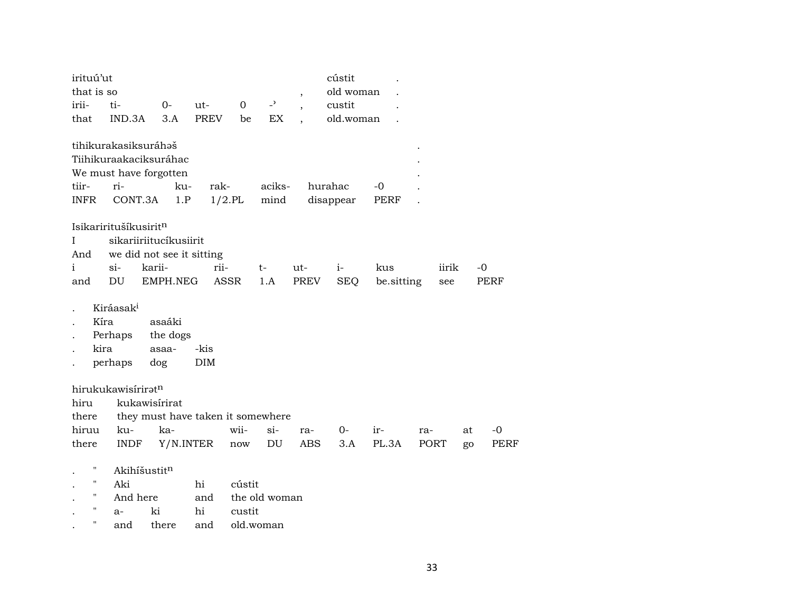| irituú'ut<br>that is so |                           |               |                                   |              |                          |                          | cústit<br>old woman |            |     |             |    |             |
|-------------------------|---------------------------|---------------|-----------------------------------|--------------|--------------------------|--------------------------|---------------------|------------|-----|-------------|----|-------------|
| irii-                   | ti-                       | $0-$          | ut-                               | $\mathbf{O}$ | $\overline{\phantom{0}}$ | $\overline{\phantom{a}}$ | custit              |            |     |             |    |             |
| that                    | IND.3A                    | 3.A           | <b>PREV</b>                       | be           | EX                       |                          | old.woman           |            |     |             |    |             |
|                         | tihikurakasiksuráhaš      |               |                                   |              |                          |                          |                     |            |     |             |    |             |
|                         | Tiihikuraakaciksuráhac    |               |                                   |              |                          |                          |                     |            |     |             |    |             |
|                         | We must have forgotten    |               |                                   |              |                          |                          |                     |            |     |             |    |             |
| tiir-                   | ri-                       | ku-           | rak-                              |              | aciks-                   |                          | hurahac             | $-0$       |     |             |    |             |
| <b>INFR</b>             | CONT.3A                   | 1.P           |                                   | $1/2.$ PL    | mind                     |                          | disappear           | PERF       |     |             |    |             |
|                         | Isikariritušíkusiritn     |               |                                   |              |                          |                          |                     |            |     |             |    |             |
| I                       | sikariiriitucíkusiirit    |               |                                   |              |                          |                          |                     |            |     |             |    |             |
| And                     | we did not see it sitting |               |                                   |              |                          |                          |                     |            |     |             |    |             |
| $\mathbf{i}$            | $\sin$                    | karii-        | rii-                              |              | t-                       | ut-                      | $i-$                | kus        |     | iirik       |    | -0          |
| and                     | DU                        | EMPH.NEG      |                                   | <b>ASSR</b>  | 1.A                      | PREV                     | <b>SEQ</b>          | be.sitting |     | see         |    | PERF        |
|                         |                           |               |                                   |              |                          |                          |                     |            |     |             |    |             |
|                         | Kiráasak <sup>i</sup>     |               |                                   |              |                          |                          |                     |            |     |             |    |             |
| Kíra                    |                           | asaáki        |                                   |              |                          |                          |                     |            |     |             |    |             |
|                         | Perhaps                   | the dogs      |                                   |              |                          |                          |                     |            |     |             |    |             |
| kira                    |                           | asaa-         | -kis                              |              |                          |                          |                     |            |     |             |    |             |
|                         | perhaps                   | dog           | DIM                               |              |                          |                          |                     |            |     |             |    |             |
|                         |                           |               |                                   |              |                          |                          |                     |            |     |             |    |             |
|                         | hirukukawisíriratn        |               |                                   |              |                          |                          |                     |            |     |             |    |             |
| hiru                    |                           | kukawisírirat |                                   |              |                          |                          |                     |            |     |             |    |             |
| there                   |                           |               | they must have taken it somewhere |              |                          |                          |                     |            |     |             |    |             |
| hiruu                   | ku-                       | ka-           |                                   | wii-         | $si-$                    | ra-                      | 0-                  | ir-        | ra- |             | at | $-0$        |
| there                   | <b>INDF</b>               |               | Y/N.INTER                         | now          | DU                       | <b>ABS</b>               | 3.A                 | PL.3A      |     | <b>PORT</b> | go | <b>PERF</b> |
| $\mathbf{H}$            | Akihíšustitn              |               |                                   |              |                          |                          |                     |            |     |             |    |             |
| $\pmb{\mathsf{H}}$      | Aki                       |               | hi                                | cústit       |                          |                          |                     |            |     |             |    |             |
| $\pmb{\mathsf{H}}$      | And here                  |               | and                               |              | the old woman            |                          |                     |            |     |             |    |             |
| $\pmb{\mathsf{H}}$      | $a-$                      | ki            | hi                                | custit       |                          |                          |                     |            |     |             |    |             |
| $\pmb{\mathsf{H}}$      | and                       | there         | and                               |              | old.woman                |                          |                     |            |     |             |    |             |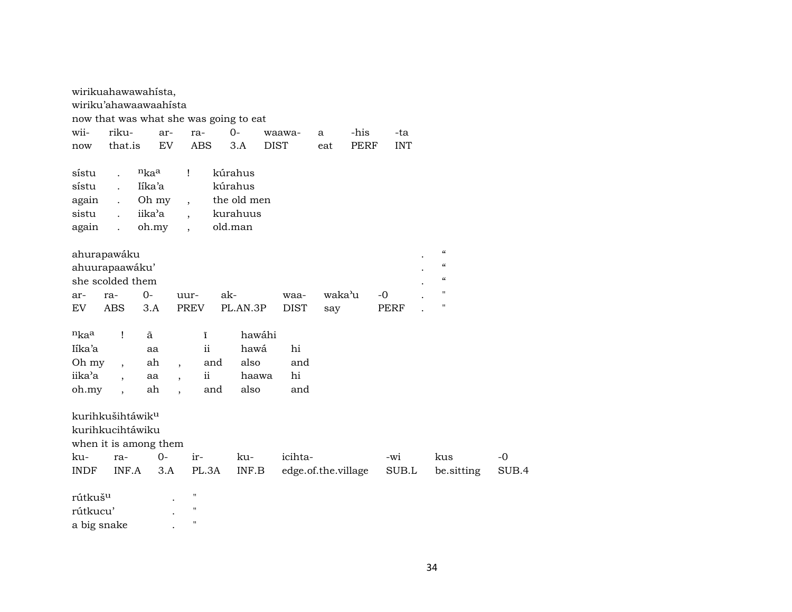|                              |                          | wirikuahawawahista,   |                          |                    |                                        |             |                     |             |             |                                        |       |
|------------------------------|--------------------------|-----------------------|--------------------------|--------------------|----------------------------------------|-------------|---------------------|-------------|-------------|----------------------------------------|-------|
|                              |                          | wiriku'ahawaawaahista |                          |                    |                                        |             |                     |             |             |                                        |       |
|                              |                          |                       |                          |                    | now that was what she was going to eat |             |                     |             |             |                                        |       |
| wii-                         | riku-                    | ar-                   |                          | ra-                | $0-$                                   | waawa-      | a                   | -his        | -ta         |                                        |       |
| now                          | that.is                  | ${\rm EV}$            |                          | <b>ABS</b>         | 3.A                                    | <b>DIST</b> | eat                 | <b>PERF</b> | <b>INT</b>  |                                        |       |
| sístu                        | $\ddot{\phantom{a}}$     | $n_{ka}$              | Ţ                        |                    | kúrahus                                |             |                     |             |             |                                        |       |
| sístu                        | $\mathbf{r}$             | Iíka'a                |                          |                    | kúrahus                                |             |                     |             |             |                                        |       |
| again                        | $\ddot{\phantom{0}}$     | Oh my                 | $\overline{\phantom{a}}$ |                    | the old men                            |             |                     |             |             |                                        |       |
| sistu                        | $\ddot{\phantom{a}}$     | iika'a                | $\overline{\phantom{a}}$ |                    | kurahuus                               |             |                     |             |             |                                        |       |
| again                        | $\ddot{\phantom{a}}$     | oh.my                 | $\ddot{\phantom{0}}$     |                    | old.man                                |             |                     |             |             |                                        |       |
|                              |                          |                       |                          |                    |                                        |             |                     |             |             |                                        |       |
| ahurapawáku                  |                          |                       |                          |                    |                                        |             |                     |             |             | $\boldsymbol{\zeta}\boldsymbol{\zeta}$ |       |
| ahuurapaawáku'               |                          |                       |                          |                    |                                        |             |                     |             |             | $\boldsymbol{\mathcal{C}}$             |       |
| she scolded them             |                          |                       |                          |                    |                                        |             |                     |             |             | $\epsilon\epsilon$                     |       |
| ar-                          | ra-                      | $0 -$                 | uur-                     |                    | ak-                                    | waa-        | waka'u              |             | $-0$        | $\pmb{\mathsf{H}}$                     |       |
| EV                           | <b>ABS</b>               | 3.A                   | <b>PREV</b>              |                    | PL.AN.3P                               | <b>DIST</b> | say                 |             | <b>PERF</b> | $\pmb{\mathsf{H}}$                     |       |
|                              |                          |                       |                          |                    |                                        |             |                     |             |             |                                        |       |
| nkaa                         | $\mathbf{I}$             | ã                     |                          | ĩ                  | hawáhi                                 |             |                     |             |             |                                        |       |
| Iíka'a                       |                          | aa                    |                          | ii                 | hawá                                   | hi          |                     |             |             |                                        |       |
| Oh my                        | $\overline{\phantom{a}}$ | ah                    | $\overline{\phantom{a}}$ | and                | also                                   | and         |                     |             |             |                                        |       |
| iika'a                       | $\ddot{\phantom{0}}$     | aa                    | $\overline{\phantom{a}}$ | $\mathbf{ii}$      | haawa                                  | hi          |                     |             |             |                                        |       |
| oh.my                        | $\ddot{\phantom{0}}$     | ah                    | $\ddot{\phantom{0}}$     | and                | also                                   | and         |                     |             |             |                                        |       |
|                              |                          |                       |                          |                    |                                        |             |                     |             |             |                                        |       |
| kurihkušihtáwik <sup>u</sup> |                          |                       |                          |                    |                                        |             |                     |             |             |                                        |       |
| kurihkucihtáwiku             |                          |                       |                          |                    |                                        |             |                     |             |             |                                        |       |
|                              |                          | when it is among them |                          |                    |                                        |             |                     |             |             |                                        |       |
| ku-                          | ra-                      | $0 -$                 |                          | ir-                | ku-                                    | icihta-     |                     |             | -wi         | kus                                    | $-0$  |
| <b>INDF</b>                  | INF.A                    | 3.A                   |                          | PL.3A              | INF.B                                  |             | edge.of.the.village |             | SUB.L       | be.sitting                             | SUB.4 |
|                              |                          |                       |                          |                    |                                        |             |                     |             |             |                                        |       |
| rútkuš <sup>u</sup>          |                          |                       |                          | $\pmb{\mathsf{H}}$ |                                        |             |                     |             |             |                                        |       |
| rútkucu'                     |                          |                       |                          | $\pmb{\mathsf{H}}$ |                                        |             |                     |             |             |                                        |       |
| a big snake                  |                          |                       |                          | $\pmb{\mathsf{H}}$ |                                        |             |                     |             |             |                                        |       |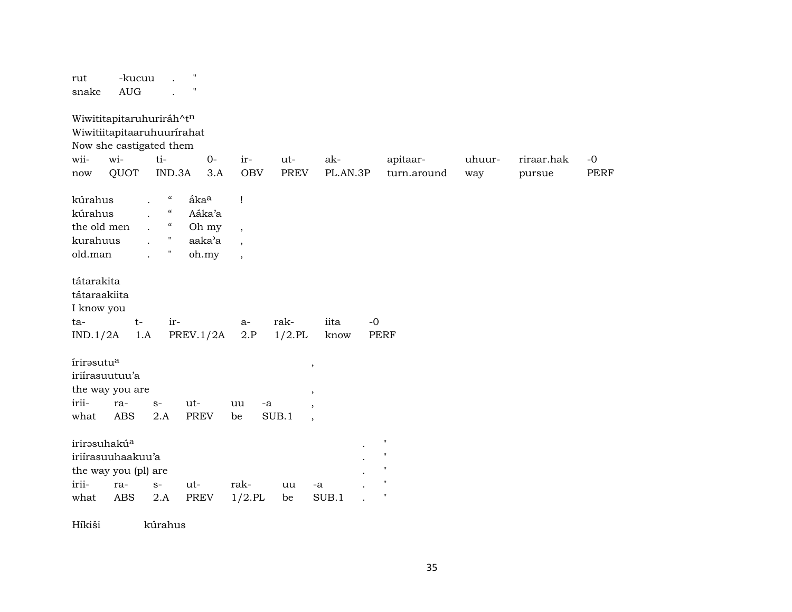| $\pmb{\mathsf{H}}$<br>-kucuu<br>rut<br><b>AUG</b><br>snake                                                                                                                                                                              |                                                                                          |                                                                                                   |                              |
|-----------------------------------------------------------------------------------------------------------------------------------------------------------------------------------------------------------------------------------------|------------------------------------------------------------------------------------------|---------------------------------------------------------------------------------------------------|------------------------------|
| Wiwititapitaruhuriráh^tn<br>Wiwitiitapitaaruhuurirahat<br>Now she castigated them                                                                                                                                                       |                                                                                          |                                                                                                   |                              |
| wi-<br>ti-<br>wii-                                                                                                                                                                                                                      | $O -$<br>ir-<br>ut-                                                                      | ak-<br>apitaar-                                                                                   | uhuur-<br>$-0$<br>riraar.hak |
| QUOT<br>IND.3A<br>$\operatorname{now}$                                                                                                                                                                                                  | <b>OBV</b><br><b>PREV</b><br>3.A                                                         | PL.AN.3P<br>turn.around                                                                           | <b>PERF</b><br>way<br>pursue |
| $\boldsymbol{\mathcal{C}}$<br>kúrahus<br>åka <sup>a</sup><br>$\mathcal{C}\mathcal{C}$<br>kúrahus<br>Aáka'a<br>$\mathcal{C}\mathcal{C}$<br>the old men<br>Oh my<br>$\mathbf{H}$<br>kurahuus<br>aaka'a<br>$\mathbf H$<br>old.man<br>oh.my | $\mathbf{I}$<br>$\overline{\phantom{a}}$<br>$\overline{\phantom{a}}$<br>$\overline{ }$ , |                                                                                                   |                              |
| tátarakita<br>tátaraakiita<br>I know you<br>$t-$<br>ir-<br>ta-<br>IND.1/2A<br>PREV.1/2A<br>1.A                                                                                                                                          | rak-<br>a-<br>$1/2$ .PL<br>2.P                                                           | iita<br>$-0$<br>PERF<br>know                                                                      |                              |
| írirasutu <sup>a</sup><br>iriírasuutuu'a<br>the way you are<br>irii-<br>ra-<br>ut-<br>$S-$<br><b>ABS</b><br>PREV<br>what<br>2.A                                                                                                         | uu<br>-a<br>SUB.1<br>be                                                                  | $\, ,$<br>$\, ,$<br>$\overline{\phantom{a}}$<br>$\cdot$                                           |                              |
| irirəsuhakú <sup>a</sup><br>iriírasuuhaakuu'a<br>the way you (pl) are<br>irii-<br>ra-<br>ut-<br>$S-$<br><b>ABS</b><br>2.A<br>PREV<br>what                                                                                               | rak-<br>uu<br>$1/2$ .PL<br>be                                                            | $\pmb{\mathsf{H}}$<br>$\blacksquare$<br>11<br>$\pmb{\mathsf{H}}$<br>-a<br>$\blacksquare$<br>SUB.1 |                              |

Híkiši kúrahus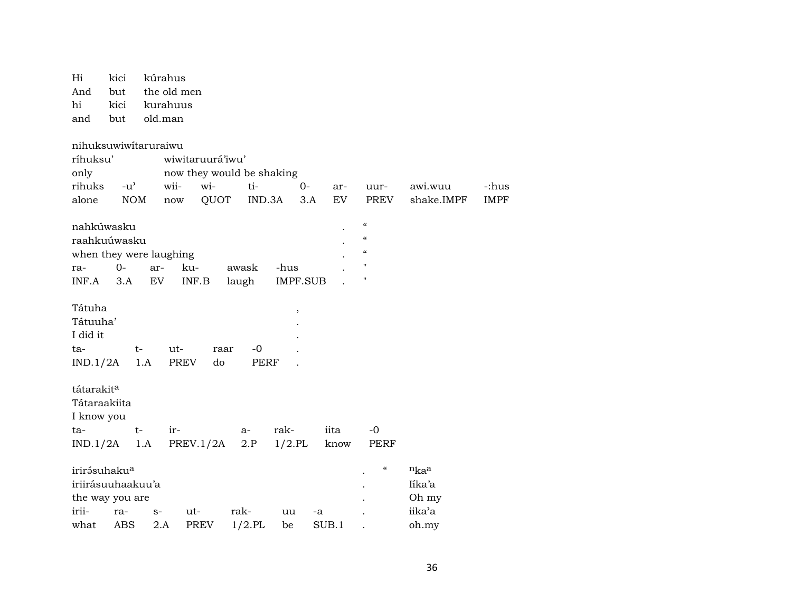| Hi                       | kici          | kúrahus |                  |                           |                 |                  |                                        |                       |                      |  |  |  |  |
|--------------------------|---------------|---------|------------------|---------------------------|-----------------|------------------|----------------------------------------|-----------------------|----------------------|--|--|--|--|
| And                      | but           |         | the old men      |                           |                 |                  |                                        |                       |                      |  |  |  |  |
| hi                       | kici          |         | kurahuus         |                           |                 |                  |                                        |                       |                      |  |  |  |  |
| and                      | but           | old.man |                  |                           |                 |                  |                                        |                       |                      |  |  |  |  |
| nihuksuwiwitaruraiwu     |               |         |                  |                           |                 |                  |                                        |                       |                      |  |  |  |  |
| ríhuksu'                 |               |         | wiwitaruurá'iwu' |                           |                 |                  |                                        |                       |                      |  |  |  |  |
| only                     |               |         |                  | now they would be shaking |                 |                  |                                        |                       |                      |  |  |  |  |
| rihuks                   | $-u^{\prime}$ |         | wii-<br>wi-      | ti-                       | $O -$           |                  |                                        |                       |                      |  |  |  |  |
| alone                    | <b>NOM</b>    |         | QUOT<br>now      | IND.3A                    |                 | ar-<br>EV<br>3.A | uur-<br>PREV                           | awi.wuu<br>shake.IMPF | -:hus<br><b>IMPF</b> |  |  |  |  |
|                          |               |         |                  |                           |                 |                  |                                        |                       |                      |  |  |  |  |
| nahkúwasku               |               |         |                  |                           |                 |                  | $\boldsymbol{\zeta}\boldsymbol{\zeta}$ |                       |                      |  |  |  |  |
| raahkuúwasku             |               |         |                  |                           |                 |                  | $\epsilon$                             |                       |                      |  |  |  |  |
| when they were laughing  |               |         |                  |                           |                 |                  | $\boldsymbol{\zeta}\boldsymbol{\zeta}$ |                       |                      |  |  |  |  |
| ra-                      | $O -$         | ar-     | ku-              | awask                     | -hus            |                  | $\mathbf{H}$                           |                       |                      |  |  |  |  |
| INF.A                    | 3.A           | EV      | INF.B            | laugh                     | <b>IMPF.SUB</b> |                  | $\mathbf H$                            |                       |                      |  |  |  |  |
|                          |               |         |                  |                           |                 |                  |                                        |                       |                      |  |  |  |  |
| Tátuha                   |               |         |                  |                           | $\,$            |                  |                                        |                       |                      |  |  |  |  |
| Tátuuha'                 |               |         |                  |                           |                 |                  |                                        |                       |                      |  |  |  |  |
| I did it                 |               |         |                  |                           |                 |                  |                                        |                       |                      |  |  |  |  |
| ta-                      |               | $t-$    | ut-              | $-0$<br>raar              |                 |                  |                                        |                       |                      |  |  |  |  |
| IND.1/2A                 |               | 1.A     | <b>PREV</b>      | <b>PERF</b><br>do         |                 |                  |                                        |                       |                      |  |  |  |  |
|                          |               |         |                  |                           |                 |                  |                                        |                       |                      |  |  |  |  |
| tátarakita               |               |         |                  |                           |                 |                  |                                        |                       |                      |  |  |  |  |
| Tátaraakiita             |               |         |                  |                           |                 |                  |                                        |                       |                      |  |  |  |  |
| I know you               |               |         |                  |                           |                 |                  |                                        |                       |                      |  |  |  |  |
| ta-                      |               | $t-$    | ir-              | a-                        | rak-            | iita             | $-0$                                   |                       |                      |  |  |  |  |
| IND.1/2A                 |               | 1.A     | PREV.1/2A        | 2.P                       | $1/2$ .PL       | know             | PERF                                   |                       |                      |  |  |  |  |
| irirásuhaku <sup>a</sup> |               |         |                  |                           |                 |                  | $\boldsymbol{\mathcal{C}}$             | nkaa                  |                      |  |  |  |  |
| iriirásuuhaakuu'a        |               |         |                  |                           |                 |                  |                                        | líka'a                |                      |  |  |  |  |
| the way you are          |               |         |                  |                           |                 |                  |                                        | Oh my                 |                      |  |  |  |  |
| irii-                    | ra-           | $S-$    | ut-              | rak-                      | uu              | -a               |                                        | iika'a                |                      |  |  |  |  |
| what                     | <b>ABS</b>    | 2.A     | <b>PREV</b>      | $1/2$ .PL                 | be              | SUB.1            |                                        | oh.my                 |                      |  |  |  |  |
|                          |               |         |                  |                           |                 |                  |                                        |                       |                      |  |  |  |  |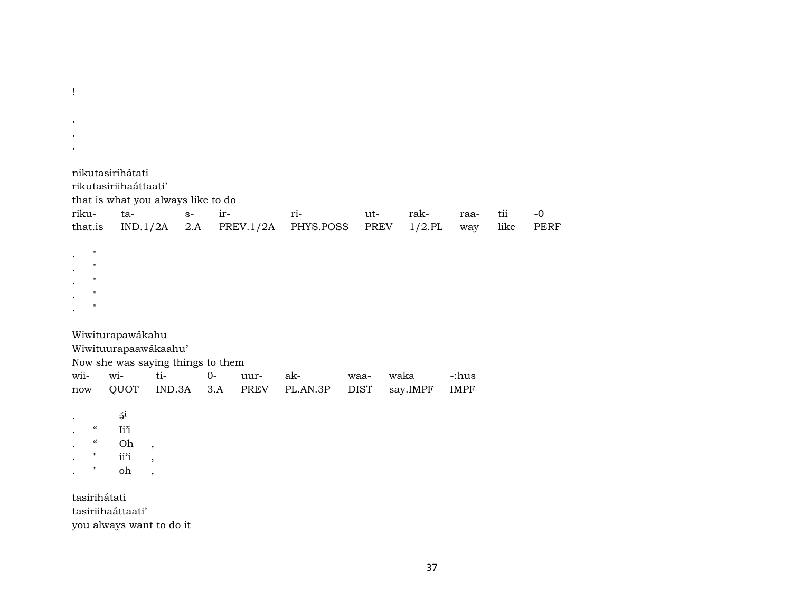$\, ,$  $\cdot$  $\cdot$ nikutasirihátati rikutasiriihaáttaati' that is what you always like to do rikutairri- $S$ utrakraatii  $-0$ PERF that.is  $IND.1/2A$  $2.A$  $PREV.1/2A$ PHYS.POSS **PREV**  $1/2.$ PL like way  $\pmb{\Pi}$  $\mathbf{H}$  $\mathbf{u}$  $\mathbf{H}$  $\cdot$ Wiwiturapawákahu Wiwituurapaawákaahu' Now she was saying things to them wiiwi $ti O$ akwaka -:hus uurwaa-QUOT  $IND.3A$  3.A **PREV** PL.AN.3P **DIST** say.IMPF **IMPF** now  $\mathfrak{z}^i$  $\boldsymbol{\mathcal{C}}$ Ii'i  $\boldsymbol{\mathcal{U}}$ Oh  $\overline{\phantom{a}}$  $\overline{a}$  $\mathbf{H}$ ii<sup>2</sup>i  $\overline{\phantom{a}}$ oh  $\pmb{\mathsf{H}}$  $\bullet$  $\overline{\phantom{a}}$ 

tasirihátati tasiriihaáttaati' you always want to do it

 $\mathbf{I}$